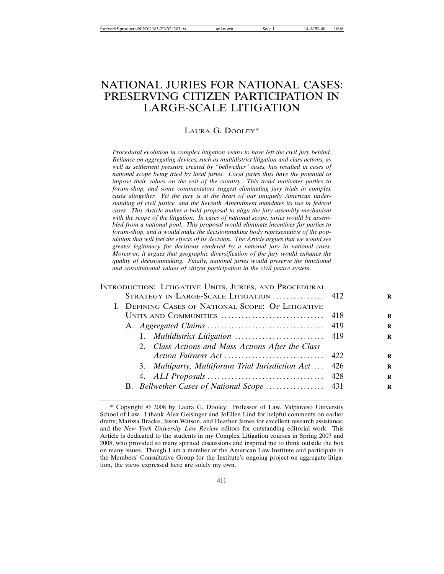# NATIONAL JURIES FOR NATIONAL CASES: PRESERVING CITIZEN PARTICIPATION IN LARGE-SCALE LITIGATION

## LAURA G. DOOLEY\*

*Procedural evolution in complex litigation seems to have left the civil jury behind. Reliance on aggregating devices, such as multidistrict litigation and class actions, as well as settlement pressure created by "bellwether" cases, has resulted in cases of national scope being tried by local juries. Local juries thus have the potential to impose their values on the rest of the country. This trend motivates parties to forum-shop, and some commentators suggest eliminating jury trials in complex cases altogether. Yet the jury is at the heart of our uniquely American understanding of civil justice, and the Seventh Amendment mandates its use in federal cases. This Article makes a bold proposal to align the jury assembly mechanism with the scope of the litigation: In cases of national scope, juries would be assembled from a national pool. This proposal would eliminate incentives for parties to forum-shop, and it would make the decisionmaking body representative of the population that will feel the effects of its decision. The Article argues that we would see greater legitimacy for decisions rendered by a national jury in national cases. Moreover, it argues that geographic diversification of the jury would enhance the quality of decisionmaking. Finally, national juries would preserve the functional and constitutional values of citizen participation in the civil justice system.*

## INTRODUCTION: LITIGATIVE UNITS, JURIES, AND PROCEDURAL

| STRATEGY IN LARGE-SCALE LITIGATION  412               | R |
|-------------------------------------------------------|---|
| I. DEFINING CASES OF NATIONAL SCOPE: OF LITIGATIVE    |   |
|                                                       | R |
|                                                       | R |
|                                                       | R |
| 2. Class Actions and Mass Actions After the Class     |   |
|                                                       | R |
| 3. Multiparty, Multiforum Trial Jurisdiction Act  426 | R |
|                                                       | R |
| B. Bellwether Cases of National Scope  431            | R |
|                                                       |   |

<sup>\*</sup> Copyright 2008 by Laura G. Dooley. Professor of Law, Valparaiso University School of Law. I thank Alex Geisinger and JoEllen Lind for helpful comments on earlier drafts; Marissa Bracke, Jason Watson, and Heather James for excellent research assistance; and the *New York University Law Review* editors for outstanding editorial work. This Article is dedicated to the students in my Complex Litigation courses in Spring 2007 and 2008, who provided so many spirited discussions and inspired me to think outside the box on many issues. Though I am a member of the American Law Institute and participate in the Members' Consultative Group for the Institute's ongoing project on aggregate litigation, the views expressed here are solely my own.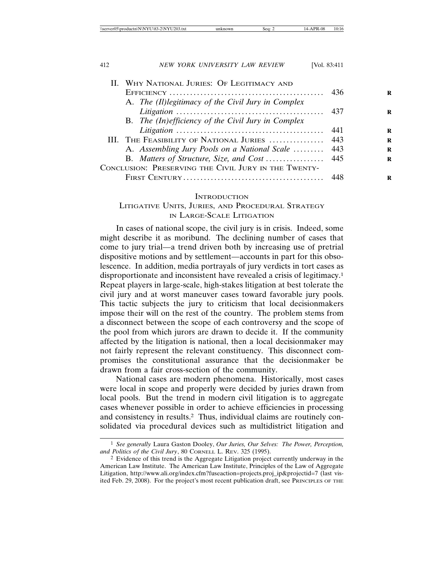| \\server05\productn\N\NYU\83-2\NYU203.txt | ınknown<br>Seq: | <b>PR-08</b><br>10:16 |
|-------------------------------------------|-----------------|-----------------------|
|-------------------------------------------|-----------------|-----------------------|

| 412 | NEW YORK UNIVERSITY LAW REVIEW                       | [Vol. $83:411$ ] |   |
|-----|------------------------------------------------------|------------------|---|
|     | II. WHY NATIONAL JURIES: OF LEGITIMACY AND           |                  |   |
|     |                                                      | 436              | R |
|     | A. The (II) legitimacy of the Civil Jury in Complex  | 437              | R |
|     | B. The (In)efficiency of the Civil Jury in Complex   |                  |   |
|     |                                                      | 441              | R |
|     | III. THE FEASIBILITY OF NATIONAL JURIES              | 443              | R |
|     | A. Assembling Jury Pools on a National Scale         | 443              | R |
|     | B. Matters of Structure, Size, and Cost              | -445             | R |
|     | CONCLUSION: PRESERVING THE CIVIL JURY IN THE TWENTY- |                  |   |
|     |                                                      | 448              | R |

## **INTRODUCTION**

# LITIGATIVE UNITS, JURIES, AND PROCEDURAL STRATEGY IN LARGE-SCALE LITIGATION

In cases of national scope, the civil jury is in crisis. Indeed, some might describe it as moribund. The declining number of cases that come to jury trial—a trend driven both by increasing use of pretrial dispositive motions and by settlement—accounts in part for this obsolescence. In addition, media portrayals of jury verdicts in tort cases as disproportionate and inconsistent have revealed a crisis of legitimacy.1 Repeat players in large-scale, high-stakes litigation at best tolerate the civil jury and at worst maneuver cases toward favorable jury pools. This tactic subjects the jury to criticism that local decisionmakers impose their will on the rest of the country. The problem stems from a disconnect between the scope of each controversy and the scope of the pool from which jurors are drawn to decide it. If the community affected by the litigation is national, then a local decisionmaker may not fairly represent the relevant constituency. This disconnect compromises the constitutional assurance that the decisionmaker be drawn from a fair cross-section of the community.

National cases are modern phenomena. Historically, most cases were local in scope and properly were decided by juries drawn from local pools. But the trend in modern civil litigation is to aggregate cases whenever possible in order to achieve efficiencies in processing and consistency in results.2 Thus, individual claims are routinely consolidated via procedural devices such as multidistrict litigation and

<sup>1</sup> *See generally* Laura Gaston Dooley, *Our Juries, Our Selves: The Power, Perception, and Politics of the Civil Jury*, 80 CORNELL L. REV. 325 (1995).

<sup>2</sup> Evidence of this trend is the Aggregate Litigation project currently underway in the American Law Institute. The American Law Institute, Principles of the Law of Aggregate Litigation, http://www.ali.org/index.cfm?fuseaction=projects.proj\_ip&projectid=7 (last visited Feb. 29, 2008). For the project's most recent publication draft, see PRINCIPLES OF THE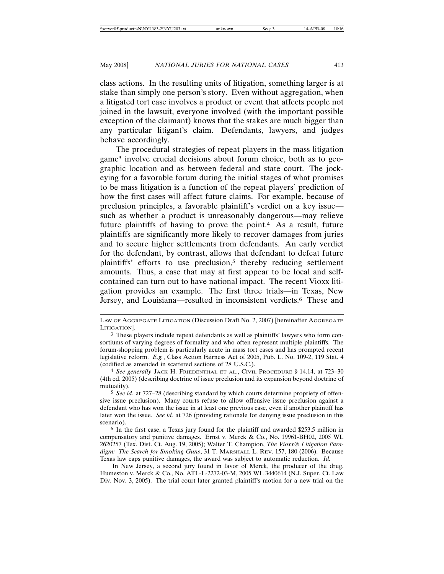class actions. In the resulting units of litigation, something larger is at stake than simply one person's story. Even without aggregation, when a litigated tort case involves a product or event that affects people not joined in the lawsuit, everyone involved (with the important possible exception of the claimant) knows that the stakes are much bigger than any particular litigant's claim. Defendants, lawyers, and judges behave accordingly.

The procedural strategies of repeat players in the mass litigation game3 involve crucial decisions about forum choice, both as to geographic location and as between federal and state court. The jockeying for a favorable forum during the initial stages of what promises to be mass litigation is a function of the repeat players' prediction of how the first cases will affect future claims. For example, because of preclusion principles, a favorable plaintiff's verdict on a key issue such as whether a product is unreasonably dangerous—may relieve future plaintiffs of having to prove the point.<sup>4</sup> As a result, future plaintiffs are significantly more likely to recover damages from juries and to secure higher settlements from defendants. An early verdict for the defendant, by contrast, allows that defendant to defeat future plaintiffs' efforts to use preclusion,<sup>5</sup> thereby reducing settlement amounts. Thus, a case that may at first appear to be local and selfcontained can turn out to have national impact. The recent Vioxx litigation provides an example. The first three trials—in Texas, New Jersey, and Louisiana—resulted in inconsistent verdicts.6 These and

In New Jersey, a second jury found in favor of Merck, the producer of the drug. Humeston v. Merck & Co., No. ATL-L-2272-03-M, 2005 WL 3440614 (N.J. Super. Ct. Law Div. Nov. 3, 2005). The trial court later granted plaintiff's motion for a new trial on the

LAW OF AGGREGATE LITIGATION (Discussion Draft No. 2, 2007) [hereinafter AGGREGATE LITIGATION].

<sup>3</sup> These players include repeat defendants as well as plaintiffs' lawyers who form consortiums of varying degrees of formality and who often represent multiple plaintiffs. The forum-shopping problem is particularly acute in mass tort cases and has prompted recent legislative reform. *E.g.*, Class Action Fairness Act of 2005, Pub. L. No. 109-2, 119 Stat. 4 (codified as amended in scattered sections of 28 U.S.C.).

<sup>4</sup> *See generally* JACK H. FRIEDENTHAL ET AL., CIVIL PROCEDURE § 14.14, at 723–30 (4th ed. 2005) (describing doctrine of issue preclusion and its expansion beyond doctrine of mutuality).

<sup>5</sup> *See id.* at 727–28 (describing standard by which courts determine propriety of offensive issue preclusion). Many courts refuse to allow offensive issue preclusion against a defendant who has won the issue in at least one previous case, even if another plaintiff has later won the issue. *See id.* at 726 (providing rationale for denying issue preclusion in this scenario).

<sup>6</sup> In the first case, a Texas jury found for the plaintiff and awarded \$253.5 million in compensatory and punitive damages. Ernst v. Merck & Co., No. 19961-BH02, 2005 WL 2620257 (Tex. Dist. Ct. Aug. 19, 2005); Walter T. Champion, *The Vioxx Litigation Paradigm: The Search for Smoking Guns*, 31 T. MARSHALL L. REV. 157, 180 (2006). Because Texas law caps punitive damages, the award was subject to automatic reduction. *Id.*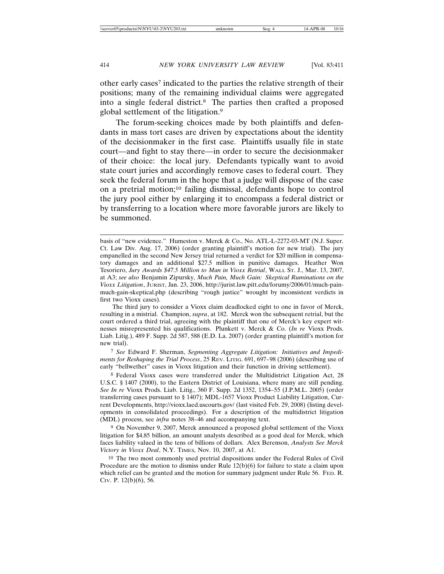other early cases7 indicated to the parties the relative strength of their positions; many of the remaining individual claims were aggregated into a single federal district.8 The parties then crafted a proposed global settlement of the litigation.9

The forum-seeking choices made by both plaintiffs and defendants in mass tort cases are driven by expectations about the identity of the decisionmaker in the first case. Plaintiffs usually file in state court—and fight to stay there—in order to secure the decisionmaker of their choice: the local jury. Defendants typically want to avoid state court juries and accordingly remove cases to federal court. They seek the federal forum in the hope that a judge will dispose of the case on a pretrial motion;10 failing dismissal, defendants hope to control the jury pool either by enlarging it to encompass a federal district or by transferring to a location where more favorable jurors are likely to be summoned.

The third jury to consider a Vioxx claim deadlocked eight to one in favor of Merck, resulting in a mistrial. Champion, *supra*, at 182. Merck won the subsequent retrial, but the court ordered a third trial, agreeing with the plaintiff that one of Merck's key expert witnesses misrepresented his qualifications. Plunkett v. Merck & Co. (*In re* Vioxx Prods. Liab. Litig.), 489 F. Supp. 2d 587, 588 (E.D. La. 2007) (order granting plaintiff's motion for new trial).

7 *See* Edward F. Sherman, *Segmenting Aggregate Litigation: Initiatives and Impediments for Reshaping the Trial Process*, 25 REV. LITIG. 691, 697–98 (2006) (describing use of early "bellwether" cases in Vioxx litigation and their function in driving settlement).

8 Federal Vioxx cases were transferred under the Multidistrict Litigation Act, 28 U.S.C. § 1407 (2000), to the Eastern District of Louisiana, where many are still pending. *See In re* Vioxx Prods. Liab. Litig., 360 F. Supp. 2d 1352, 1354–55 (J.P.M.L. 2005) (order transferring cases pursuant to § 1407); MDL-1657 Vioxx Product Liability Litigation, Current Developments, http://vioxx.laed.uscourts.gov/ (last visited Feb. 29, 2008) (listing developments in consolidated proceedings). For a description of the multidistrict litigation (MDL) process, see *infra* notes 38–46 and accompanying text.

9 On November 9, 2007, Merck announced a proposed global settlement of the Vioxx litigation for \$4.85 billion, an amount analysts described as a good deal for Merck, which faces liability valued in the tens of billions of dollars. Alex Berenson, *Analysts See Merck Victory in Vioxx Deal*, N.Y. TIMES, Nov. 10, 2007, at A1.

10 The two most commonly used pretrial dispositions under the Federal Rules of Civil Procedure are the motion to dismiss under Rule  $12(b)(6)$  for failure to state a claim upon which relief can be granted and the motion for summary judgment under Rule 56. Feb. R. CIV. P. 12(b)(6), 56.

basis of "new evidence." Humeston v. Merck & Co., No. ATL-L-2272-03-MT (N.J. Super. Ct. Law Div. Aug. 17, 2006) (order granting plaintiff's motion for new trial). The jury empanelled in the second New Jersey trial returned a verdict for \$20 million in compensatory damages and an additional \$27.5 million in punitive damages. Heather Won Tesoriero, *Jury Awards \$47.5 Million to Man in Vioxx Retrial*, WALL ST. J., Mar. 13, 2007, at A3; *see also* Benjamin Zipursky, *Much Pain, Much Gain: Skeptical Ruminations on the Vioxx Litigation*, JURIST, Jan. 23, 2006, http://jurist.law.pitt.edu/forumy/2006/01/much-painmuch-gain-skeptical.php (describing "rough justice" wrought by inconsistent verdicts in first two Vioxx cases).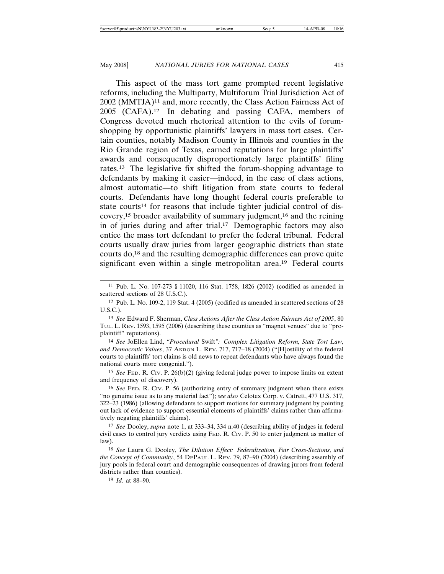This aspect of the mass tort game prompted recent legislative reforms, including the Multiparty, Multiforum Trial Jurisdiction Act of 2002 (MMTJA)11 and, more recently, the Class Action Fairness Act of 2005 (CAFA).12 In debating and passing CAFA, members of Congress devoted much rhetorical attention to the evils of forumshopping by opportunistic plaintiffs' lawyers in mass tort cases. Certain counties, notably Madison County in Illinois and counties in the Rio Grande region of Texas, earned reputations for large plaintiffs' awards and consequently disproportionately large plaintiffs' filing rates.13 The legislative fix shifted the forum-shopping advantage to defendants by making it easier—indeed, in the case of class actions, almost automatic—to shift litigation from state courts to federal courts. Defendants have long thought federal courts preferable to state courts<sup>14</sup> for reasons that include tighter judicial control of discovery,15 broader availability of summary judgment,16 and the reining in of juries during and after trial.<sup>17</sup> Demographic factors may also entice the mass tort defendant to prefer the federal tribunal. Federal courts usually draw juries from larger geographic districts than state courts do,18 and the resulting demographic differences can prove quite significant even within a single metropolitan area.19 Federal courts

14 *See* JoEllen Lind, *"Procedural* Swift*": Complex Litigation Reform, State Tort Law, and Democratic Values*, 37 AKRON L. REV. 717, 717–18 (2004) ("[H]ostility of the federal courts to plaintiffs' tort claims is old news to repeat defendants who have always found the national courts more congenial.").

15 *See* FED. R. CIV. P. 26(b)(2) (giving federal judge power to impose limits on extent and frequency of discovery).

16 *See* FED. R. CIV. P. 56 (authorizing entry of summary judgment when there exists "no genuine issue as to any material fact"); *see also* Celotex Corp. v. Catrett, 477 U.S. 317, 322–23 (1986) (allowing defendants to support motions for summary judgment by pointing out lack of evidence to support essential elements of plaintiffs' claims rather than affirmatively negating plaintiffs' claims).

17 *See* Dooley, *supra* note 1, at 333–34, 334 n.40 (describing ability of judges in federal civil cases to control jury verdicts using FED. R. CIV. P. 50 to enter judgment as matter of law).

18 *See* Laura G. Dooley, *The Dilution Effect: Federalization, Fair Cross-Sections, and the Concept of Community*, 54 DEPAUL L. REV. 79, 87–90 (2004) (describing assembly of jury pools in federal court and demographic consequences of drawing jurors from federal districts rather than counties).

19 *Id.* at 88–90.

<sup>11</sup> Pub. L. No. 107-273 § 11020, 116 Stat. 1758, 1826 (2002) (codified as amended in scattered sections of 28 U.S.C.).

<sup>12</sup> Pub. L. No. 109-2, 119 Stat. 4 (2005) (codified as amended in scattered sections of 28 U.S.C.).

<sup>13</sup> *See* Edward F. Sherman, *Class Actions After the Class Action Fairness Act of 2005*, 80 TUL. L. REV. 1593, 1595 (2006) (describing these counties as "magnet venues" due to "proplaintiff" reputations).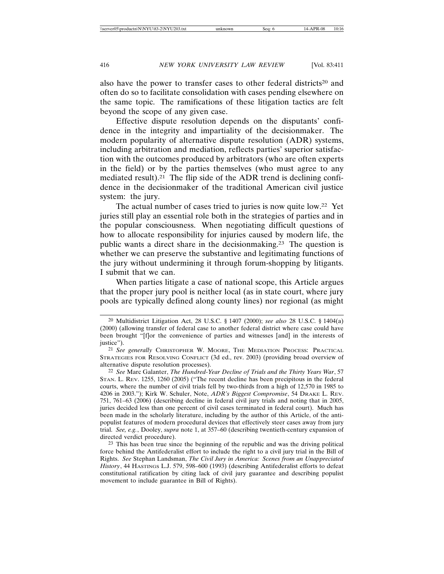also have the power to transfer cases to other federal districts<sup>20</sup> and often do so to facilitate consolidation with cases pending elsewhere on the same topic. The ramifications of these litigation tactics are felt beyond the scope of any given case.

Effective dispute resolution depends on the disputants' confidence in the integrity and impartiality of the decisionmaker. The modern popularity of alternative dispute resolution (ADR) systems, including arbitration and mediation, reflects parties' superior satisfaction with the outcomes produced by arbitrators (who are often experts in the field) or by the parties themselves (who must agree to any mediated result).21 The flip side of the ADR trend is declining confidence in the decisionmaker of the traditional American civil justice system: the jury.

The actual number of cases tried to juries is now quite low.22 Yet juries still play an essential role both in the strategies of parties and in the popular consciousness. When negotiating difficult questions of how to allocate responsibility for injuries caused by modern life, the public wants a direct share in the decisionmaking.23 The question is whether we can preserve the substantive and legitimating functions of the jury without undermining it through forum-shopping by litigants. I submit that we can.

When parties litigate a case of national scope, this Article argues that the proper jury pool is neither local (as in state court, where jury pools are typically defined along county lines) nor regional (as might

<sup>20</sup> Multidistrict Litigation Act, 28 U.S.C. § 1407 (2000); *see also* 28 U.S.C. § 1404(a) (2000) (allowing transfer of federal case to another federal district where case could have been brought "[f]or the convenience of parties and witnesses [and] in the interests of justice").

<sup>21</sup> *See generally* CHRISTOPHER W. MOORE, THE MEDIATION PROCESS: PRACTICAL STRATEGIES FOR RESOLVING CONFLICT (3d ed., rev. 2003) (providing broad overview of alternative dispute resolution processes).

<sup>22</sup> *See* Marc Galanter, *The Hundred-Year Decline of Trials and the Thirty Years War*, 57 STAN. L. REV. 1255, 1260 (2005) ("The recent decline has been precipitous in the federal courts, where the number of civil trials fell by two-thirds from a high of 12,570 in 1985 to 4206 in 2003."); Kirk W. Schuler, Note, *ADR's Biggest Compromise*, 54 DRAKE L. REV. 751, 761–63 (2006) (describing decline in federal civil jury trials and noting that in 2005, juries decided less than one percent of civil cases terminated in federal court). Much has been made in the scholarly literature, including by the author of this Article, of the antipopulist features of modern procedural devices that effectively steer cases away from jury trial. *See, e.g.*, Dooley, *supra* note 1, at 357–60 (describing twentieth-century expansion of directed verdict procedure).

<sup>&</sup>lt;sup>23</sup> This has been true since the beginning of the republic and was the driving political force behind the Antifederalist effort to include the right to a civil jury trial in the Bill of Rights. *See* Stephan Landsman, *The Civil Jury in America: Scenes from an Unappreciated History*, 44 HASTINGS L.J. 579, 598–600 (1993) (describing Antifederalist efforts to defeat constitutional ratification by citing lack of civil jury guarantee and describing populist movement to include guarantee in Bill of Rights).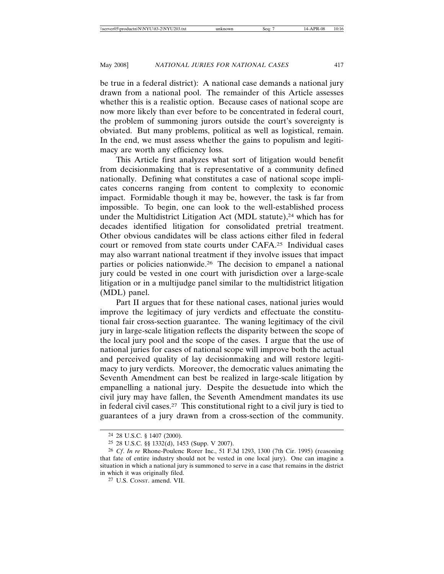be true in a federal district): A national case demands a national jury drawn from a national pool. The remainder of this Article assesses whether this is a realistic option. Because cases of national scope are now more likely than ever before to be concentrated in federal court, the problem of summoning jurors outside the court's sovereignty is obviated. But many problems, political as well as logistical, remain. In the end, we must assess whether the gains to populism and legitimacy are worth any efficiency loss.

This Article first analyzes what sort of litigation would benefit from decisionmaking that is representative of a community defined nationally. Defining what constitutes a case of national scope implicates concerns ranging from content to complexity to economic impact. Formidable though it may be, however, the task is far from impossible. To begin, one can look to the well-established process under the Multidistrict Litigation Act (MDL statute),<sup>24</sup> which has for decades identified litigation for consolidated pretrial treatment. Other obvious candidates will be class actions either filed in federal court or removed from state courts under CAFA.25 Individual cases may also warrant national treatment if they involve issues that impact parties or policies nationwide.26 The decision to empanel a national jury could be vested in one court with jurisdiction over a large-scale litigation or in a multijudge panel similar to the multidistrict litigation (MDL) panel.

Part II argues that for these national cases, national juries would improve the legitimacy of jury verdicts and effectuate the constitutional fair cross-section guarantee. The waning legitimacy of the civil jury in large-scale litigation reflects the disparity between the scope of the local jury pool and the scope of the cases. I argue that the use of national juries for cases of national scope will improve both the actual and perceived quality of lay decisionmaking and will restore legitimacy to jury verdicts. Moreover, the democratic values animating the Seventh Amendment can best be realized in large-scale litigation by empanelling a national jury. Despite the desuetude into which the civil jury may have fallen, the Seventh Amendment mandates its use in federal civil cases.27 This constitutional right to a civil jury is tied to guarantees of a jury drawn from a cross-section of the community.

<sup>24</sup> 28 U.S.C. § 1407 (2000).

<sup>25</sup> 28 U.S.C. §§ 1332(d), 1453 (Supp. V 2007).

<sup>26</sup> *Cf*. *In re* Rhone-Poulenc Rorer Inc., 51 F.3d 1293, 1300 (7th Cir. 1995) (reasoning that fate of entire industry should not be vested in one local jury). One can imagine a situation in which a national jury is summoned to serve in a case that remains in the district in which it was originally filed.

<sup>27</sup> U.S. CONST. amend. VII.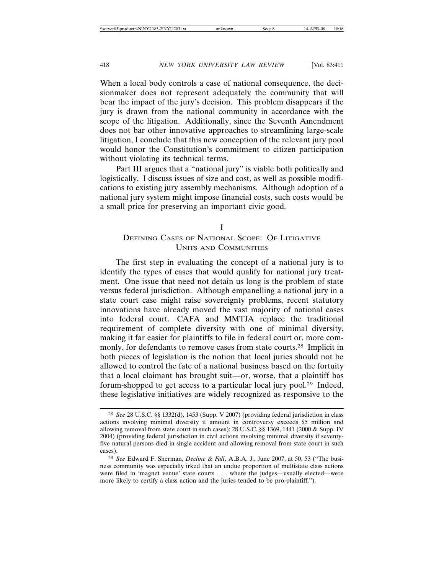When a local body controls a case of national consequence, the decisionmaker does not represent adequately the community that will bear the impact of the jury's decision. This problem disappears if the jury is drawn from the national community in accordance with the scope of the litigation. Additionally, since the Seventh Amendment does not bar other innovative approaches to streamlining large-scale litigation, I conclude that this new conception of the relevant jury pool would honor the Constitution's commitment to citizen participation without violating its technical terms.

Part III argues that a "national jury" is viable both politically and logistically. I discuss issues of size and cost, as well as possible modifications to existing jury assembly mechanisms. Although adoption of a national jury system might impose financial costs, such costs would be a small price for preserving an important civic good.

#### I

# DEFINING CASES OF NATIONAL SCOPE: OF LITIGATIVE UNITS AND COMMUNITIES

The first step in evaluating the concept of a national jury is to identify the types of cases that would qualify for national jury treatment. One issue that need not detain us long is the problem of state versus federal jurisdiction. Although empanelling a national jury in a state court case might raise sovereignty problems, recent statutory innovations have already moved the vast majority of national cases into federal court. CAFA and MMTJA replace the traditional requirement of complete diversity with one of minimal diversity, making it far easier for plaintiffs to file in federal court or, more commonly, for defendants to remove cases from state courts.28 Implicit in both pieces of legislation is the notion that local juries should not be allowed to control the fate of a national business based on the fortuity that a local claimant has brought suit—or, worse, that a plaintiff has forum-shopped to get access to a particular local jury pool.29 Indeed, these legislative initiatives are widely recognized as responsive to the

<sup>28</sup> *See* 28 U.S.C. §§ 1332(d), 1453 (Supp. V 2007) (providing federal jurisdiction in class actions involving minimal diversity if amount in controversy exceeds \$5 million and allowing removal from state court in such cases); 28 U.S.C. §§ 1369, 1441 (2000 & Supp. IV 2004) (providing federal jurisdiction in civil actions involving minimal diversity if seventyfive natural persons died in single accident and allowing removal from state court in such cases).

<sup>29</sup> *See* Edward F. Sherman, *Decline & Fall*, A.B.A. J., June 2007, at 50, 53 ("The business community was especially irked that an undue proportion of multistate class actions were filed in 'magnet venue' state courts . . . where the judges—usually elected—were more likely to certify a class action and the juries tended to be pro-plaintiff.").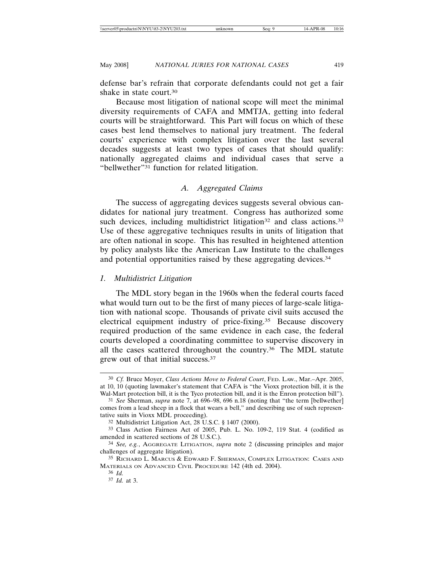defense bar's refrain that corporate defendants could not get a fair shake in state court.30

Because most litigation of national scope will meet the minimal diversity requirements of CAFA and MMTJA, getting into federal courts will be straightforward. This Part will focus on which of these cases best lend themselves to national jury treatment. The federal courts' experience with complex litigation over the last several decades suggests at least two types of cases that should qualify: nationally aggregated claims and individual cases that serve a "bellwether"31 function for related litigation.

## *A. Aggregated Claims*

The success of aggregating devices suggests several obvious candidates for national jury treatment. Congress has authorized some such devices, including multidistrict litigation<sup>32</sup> and class actions.<sup>33</sup> Use of these aggregative techniques results in units of litigation that are often national in scope. This has resulted in heightened attention by policy analysts like the American Law Institute to the challenges and potential opportunities raised by these aggregating devices.34

#### *1. Multidistrict Litigation*

The MDL story began in the 1960s when the federal courts faced what would turn out to be the first of many pieces of large-scale litigation with national scope. Thousands of private civil suits accused the electrical equipment industry of price-fixing.35 Because discovery required production of the same evidence in each case, the federal courts developed a coordinating committee to supervise discovery in all the cases scattered throughout the country.36 The MDL statute grew out of that initial success.37

<sup>30</sup> *Cf.* Bruce Moyer, *Class Actions Move to Federal Court*, FED. LAW., Mar.–Apr. 2005, at 10, 10 (quoting lawmaker's statement that CAFA is "the Vioxx protection bill, it is the Wal-Mart protection bill, it is the Tyco protection bill, and it is the Enron protection bill").

<sup>31</sup> *See* Sherman, *supra* note 7, at 696–98, 696 n.18 (noting that "the term [bellwether] comes from a lead sheep in a flock that wears a bell," and describing use of such representative suits in Vioxx MDL proceeding).

<sup>32</sup> Multidistrict Litigation Act, 28 U.S.C. § 1407 (2000).

<sup>33</sup> Class Action Fairness Act of 2005, Pub. L. No. 109-2, 119 Stat. 4 (codified as amended in scattered sections of 28 U.S.C.).

<sup>34</sup> *See, e.g.*, AGGREGATE LITIGATION, *supra* note 2 (discussing principles and major challenges of aggregate litigation).

<sup>35</sup> RICHARD L. MARCUS & EDWARD F. SHERMAN, COMPLEX LITIGATION: CASES AND MATERIALS ON ADVANCED CIVIL PROCEDURE 142 (4th ed. 2004).

<sup>36</sup> *Id.*

<sup>37</sup> *Id.* at 3.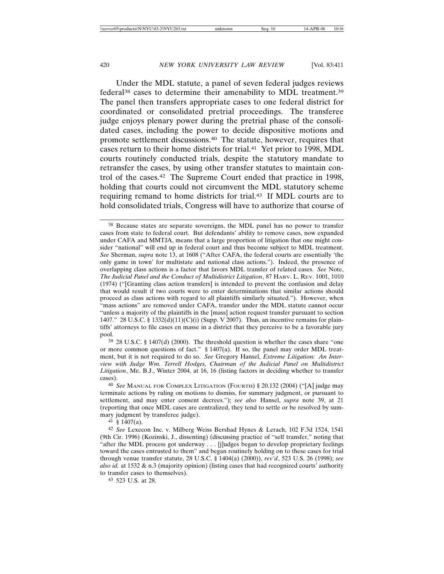Under the MDL statute, a panel of seven federal judges reviews federal38 cases to determine their amenability to MDL treatment.39 The panel then transfers appropriate cases to one federal district for coordinated or consolidated pretrial proceedings. The transferee judge enjoys plenary power during the pretrial phase of the consolidated cases, including the power to decide dispositive motions and promote settlement discussions.40 The statute, however, requires that cases return to their home districts for trial.41 Yet prior to 1998, MDL courts routinely conducted trials, despite the statutory mandate to retransfer the cases, by using other transfer statutes to maintain control of the cases.42 The Supreme Court ended that practice in 1998, holding that courts could not circumvent the MDL statutory scheme requiring remand to home districts for trial.43 If MDL courts are to hold consolidated trials, Congress will have to authorize that course of

39 28 U.S.C. § 1407(d) (2000). The threshold question is whether the cases share "one or more common questions of fact." § 1407(a). If so, the panel may order MDL treatment, but it is not required to do so. *See* Gregory Hansel, *Extreme Litigation: An Interview with Judge Wm. Terrell Hodges, Chairman of the Judicial Panel on Multidistrict Litigation*, ME. B.J., Winter 2004, at 16, 16 (listing factors in deciding whether to transfer cases).

40 *See* MANUAL FOR COMPLEX LITIGATION (FOURTH) § 20.132 (2004) ("[A] judge may terminate actions by ruling on motions to dismiss, for summary judgment, or pursuant to settlement, and may enter consent decrees."); *see also* Hansel, *supra* note 39, at 21 (reporting that once MDL cases are centralized, they tend to settle or be resolved by summary judgment by transferee judge).

41 § 1407(a).

42 *See* Lexecon Inc. v. Milberg Weiss Bershad Hynes & Lerach, 102 F.3d 1524, 1541 (9th Cir. 1996) (Kozinski, J., dissenting) (discussing practice of "self transfer," noting that "after the MDL process got underway . . . [j]udges began to develop proprietary feelings toward the cases entrusted to them" and began routinely holding on to these cases for trial through venue transfer statute, 28 U.S.C. § 1404(a) (2000)), *rev'd*, 523 U.S. 26 (1998); *see also id.* at 1532 & n.3 (majority opinion) (listing cases that had recognized courts' authority to transfer cases to themselves).

43 523 U.S. at 28.

<sup>38</sup> Because states are separate sovereigns, the MDL panel has no power to transfer cases from state to federal court. But defendants' ability to remove cases, now expanded under CAFA and MMTJA, means that a large proportion of litigation that one might consider "national" will end up in federal court and thus become subject to MDL treatment. *See* Sherman, *supra* note 13, at 1608 ("After CAFA, the federal courts are essentially 'the only game in town' for multistate and national class actions."). Indeed, the presence of overlapping class actions is a factor that favors MDL transfer of related cases. *See* Note, *The Judicial Panel and the Conduct of Multidistrict Litigation*, 87 HARV. L. REV. 1001, 1010 (1974) ("[Granting class action transfers] is intended to prevent the confusion and delay that would result if two courts were to enter determinations that similar actions should proceed as class actions with regard to all plaintiffs similarly situated."). However, when "mass actions" are removed under CAFA, transfer under the MDL statute cannot occur "unless a majority of the plaintiffs in the [mass] action request transfer pursuant to section 1407." 28 U.S.C. § 1332(d)(11)(C)(i) (Supp. V 2007). Thus, an incentive remains for plaintiffs' attorneys to file cases en masse in a district that they perceive to be a favorable jury pool.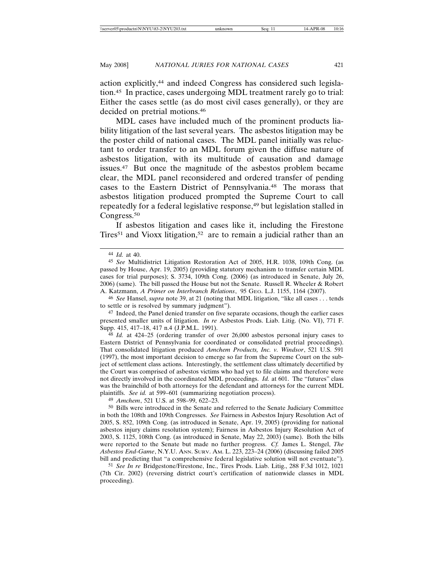action explicitly,44 and indeed Congress has considered such legislation.45 In practice, cases undergoing MDL treatment rarely go to trial: Either the cases settle (as do most civil cases generally), or they are decided on pretrial motions.46

MDL cases have included much of the prominent products liability litigation of the last several years. The asbestos litigation may be the poster child of national cases. The MDL panel initially was reluctant to order transfer to an MDL forum given the diffuse nature of asbestos litigation, with its multitude of causation and damage issues.47 But once the magnitude of the asbestos problem became clear, the MDL panel reconsidered and ordered transfer of pending cases to the Eastern District of Pennsylvania.48 The morass that asbestos litigation produced prompted the Supreme Court to call repeatedly for a federal legislative response,<sup>49</sup> but legislation stalled in Congress.<sup>50</sup>

If asbestos litigation and cases like it, including the Firestone Tires<sup>51</sup> and Vioxx litigation,<sup>52</sup> are to remain a judicial rather than an

46 *See* Hansel, *supra* note 39, at 21 (noting that MDL litigation, "like all cases . . . tends to settle or is resolved by summary judgment").

47 Indeed, the Panel denied transfer on five separate occasions, though the earlier cases presented smaller units of litigation. *In re* Asbestos Prods. Liab. Litig. (No. VI), 771 F. Supp. 415, 417–18, 417 n.4 (J.P.M.L. 1991).

48 *Id.* at 424–25 (ordering transfer of over 26,000 asbestos personal injury cases to Eastern District of Pennsylvania for coordinated or consolidated pretrial proceedings). That consolidated litigation produced *Amchem Products, Inc. v. Windsor*, 521 U.S. 591 (1997), the most important decision to emerge so far from the Supreme Court on the subject of settlement class actions. Interestingly, the settlement class ultimately decertified by the Court was comprised of asbestos victims who had yet to file claims and therefore were not directly involved in the coordinated MDL proceedings. *Id.* at 601. The "futures" class was the brainchild of both attorneys for the defendant and attorneys for the current MDL plaintiffs. *See id.* at 599–601 (summarizing negotiation process).

49 *Amchem*, 521 U.S. at 598–99, 622–23.

<sup>44</sup> *Id.* at 40.

<sup>45</sup> *See* Multidistrict Litigation Restoration Act of 2005, H.R. 1038, 109th Cong. (as passed by House, Apr. 19, 2005) (providing statutory mechanism to transfer certain MDL cases for trial purposes); S. 3734, 109th Cong. (2006) (as introduced in Senate, July 26, 2006) (same). The bill passed the House but not the Senate. Russell R. Wheeler & Robert A. Katzmann, *A Primer on Interbranch Relations*, 95 GEO. L.J. 1155, 1164 (2007).

<sup>50</sup> Bills were introduced in the Senate and referred to the Senate Judiciary Committee in both the 108th and 109th Congresses. *See* Fairness in Asbestos Injury Resolution Act of 2005, S. 852, 109th Cong. (as introduced in Senate, Apr. 19, 2005) (providing for national asbestos injury claims resolution system); Fairness in Asbestos Injury Resolution Act of 2003, S. 1125, 108th Cong. (as introduced in Senate, May 22, 2003) (same). Both the bills were reported to the Senate but made no further progress. *Cf.* James L. Stengel, *The Asbestos End-Game*, N.Y.U. ANN. SURV. AM. L. 223, 223–24 (2006) (discussing failed 2005 bill and predicting that "a comprehensive federal legislative solution will not eventuate").

<sup>51</sup> *See In re* Bridgestone/Firestone, Inc., Tires Prods. Liab. Litig., 288 F.3d 1012, 1021 (7th Cir. 2002) (reversing district court's certification of nationwide classes in MDL proceeding).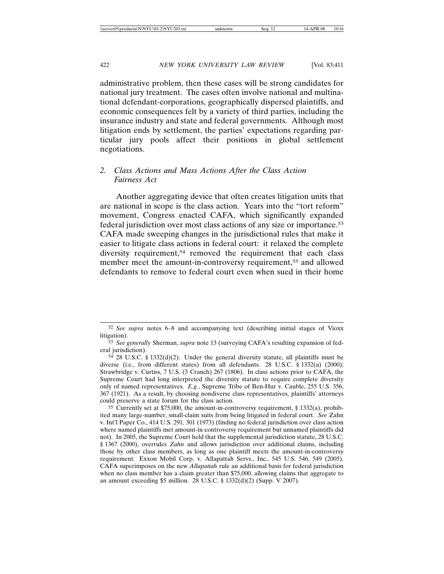administrative problem, then these cases will be strong candidates for national jury treatment. The cases often involve national and multinational defendant-corporations, geographically dispersed plaintiffs, and economic consequences felt by a variety of third parties, including the insurance industry and state and federal governments. Although most litigation ends by settlement, the parties' expectations regarding particular jury pools affect their positions in global settlement negotiations.

# *2. Class Actions and Mass Actions After the Class Action Fairness Act*

Another aggregating device that often creates litigation units that are national in scope is the class action. Years into the "tort reform" movement, Congress enacted CAFA, which significantly expanded federal jurisdiction over most class actions of any size or importance.53 CAFA made sweeping changes in the jurisdictional rules that make it easier to litigate class actions in federal court: it relaxed the complete diversity requirement,<sup>54</sup> removed the requirement that each class member meet the amount-in-controversy requirement,<sup>55</sup> and allowed defendants to remove to federal court even when sued in their home

<sup>52</sup> *See supra* notes 6–8 and accompanying text (describing initial stages of Vioxx litigation).

<sup>53</sup> *See generally* Sherman, *supra* note 13 (surveying CAFA's resulting expansion of federal jurisdiction).

<sup>54</sup> 28 U.S.C. § 1332(d)(2). Under the general diversity statute, all plaintiffs must be diverse (i.e., from different states) from all defendants. 28 U.S.C. § 1332(a) (2000); Strawbridge v. Curtiss, 7 U.S. (3 Cranch) 267 (1806). In class actions prior to CAFA, the Supreme Court had long interpreted the diversity statute to require complete diversity only of named representatives. *E.g.*, Supreme Tribe of Ben-Hur v. Cauble, 255 U.S. 356, 367 (1921). As a result, by choosing nondiverse class representatives, plaintiffs' attorneys could preserve a state forum for the class action.

<sup>55</sup> Currently set at \$75,000, the amount-in-controversy requirement, § 1332(a), prohibited many large-number, small-claim suits from being litigated in federal court. *See* Zahn v. Int'l Paper Co., 414 U.S. 291, 301 (1973) (finding no federal jurisdiction over class action where named plaintiffs met amount-in-controversy requirement but unnamed plaintiffs did not). In 2005, the Supreme Court held that the supplemental jurisdiction statute, 28 U.S.C. § 1367 (2000), overrules *Zahn* and allows jurisdiction over additional claims, including those by other class members, as long as one plaintiff meets the amount-in-controversy requirement. Exxon Mobil Corp. v. Allapattah Servs., Inc., 545 U.S. 546, 549 (2005). CAFA superimposes on the new *Allapattah* rule an additional basis for federal jurisdiction when no class member has a claim greater than \$75,000, allowing claims that aggregate to an amount exceeding \$5 million. 28 U.S.C. § 1332(d)(2) (Supp. V 2007).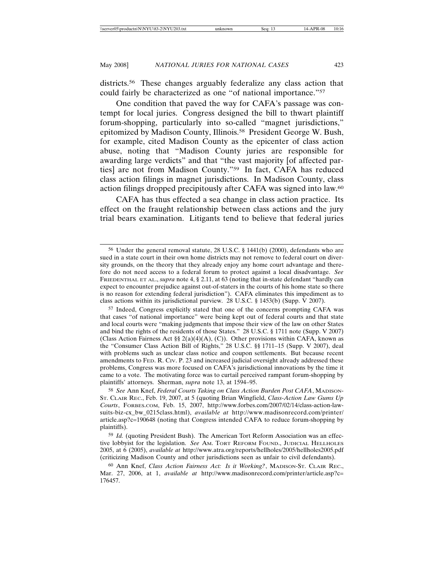districts.<sup>56</sup> These changes arguably federalize any class action that could fairly be characterized as one "of national importance."57

One condition that paved the way for CAFA's passage was contempt for local juries. Congress designed the bill to thwart plaintiff forum-shopping, particularly into so-called "magnet jurisdictions," epitomized by Madison County, Illinois.58 President George W. Bush, for example, cited Madison County as the epicenter of class action abuse, noting that "Madison County juries are responsible for awarding large verdicts" and that "the vast majority [of affected parties] are not from Madison County."59 In fact, CAFA has reduced class action filings in magnet jurisdictions. In Madison County, class action filings dropped precipitously after CAFA was signed into law.60

CAFA has thus effected a sea change in class action practice. Its effect on the fraught relationship between class actions and the jury trial bears examination. Litigants tend to believe that federal juries

<sup>56</sup> Under the general removal statute, 28 U.S.C. § 1441(b) (2000), defendants who are sued in a state court in their own home districts may not remove to federal court on diversity grounds, on the theory that they already enjoy any home court advantage and therefore do not need access to a federal forum to protect against a local disadvantage. *See* FRIEDENTHAL ET AL., *supra* note 4, § 2.11, at 63 (noting that in-state defendant "hardly can expect to encounter prejudice against out-of-staters in the courts of his home state so there is no reason for extending federal jurisdiction"). CAFA eliminates this impediment as to class actions within its jurisdictional purview. 28 U.S.C. § 1453(b) (Supp. V 2007).

<sup>57</sup> Indeed, Congress explicitly stated that one of the concerns prompting CAFA was that cases "of national importance" were being kept out of federal courts and that state and local courts were "making judgments that impose their view of the law on other States and bind the rights of the residents of those States." 28 U.S.C. § 1711 note (Supp. V 2007) (Class Action Fairness Act §§ 2(a)(4)(A), (C)). Other provisions within CAFA, known as the "Consumer Class Action Bill of Rights," 28 U.S.C. §§ 1711–15 (Supp. V 2007), deal with problems such as unclear class notice and coupon settlements. But because recent amendments to FED. R. CIV. P. 23 and increased judicial oversight already addressed these problems, Congress was more focused on CAFA's jurisdictional innovations by the time it came to a vote. The motivating force was to curtail perceived rampant forum-shopping by plaintiffs' attorneys. Sherman, *supra* note 13, at 1594–95.

<sup>58</sup> *See* Ann Knef, *Federal Courts Taking on Class Action Burden Post CAFA*, MADISON-ST. CLAIR REC., Feb. 19, 2007, at 5 (quoting Brian Wingfield, *Class-Action Law Gums Up Courts*, FORBES.COM, Feb. 15, 2007, http://www.forbes.com/2007/02/14/class-action-lawsuits-biz-cx\_bw\_0215class.html), *available at* http://www.madisonrecord.com/printer/ article.asp?c=190648 (noting that Congress intended CAFA to reduce forum-shopping by plaintiffs).

<sup>59</sup> *Id.* (quoting President Bush). The American Tort Reform Association was an effective lobbyist for the legislation. *See* AM. TORT REFORM FOUND., JUDICIAL HELLHOLES 2005, at 6 (2005), *available at* http://www.atra.org/reports/hellholes/2005/hellholes2005.pdf (criticizing Madison County and other jurisdictions seen as unfair to civil defendants).

<sup>60</sup> Ann Knef, *Class Action Fairness Act: Is it Working?*, MADISON-ST. CLAIR REC., Mar. 27, 2006, at 1, *available at* http://www.madisonrecord.com/printer/article.asp?c= 176457.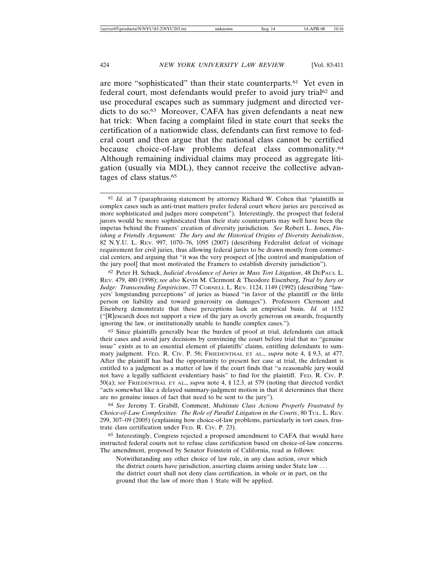are more "sophisticated" than their state counterparts.61 Yet even in federal court, most defendants would prefer to avoid jury trial<sup>62</sup> and use procedural escapes such as summary judgment and directed verdicts to do so.63 Moreover, CAFA has given defendants a neat new hat trick: When facing a complaint filed in state court that seeks the certification of a nationwide class, defendants can first remove to federal court and then argue that the national class cannot be certified because choice-of-law problems defeat class commonality.64 Although remaining individual claims may proceed as aggregate litigation (usually via MDL), they cannot receive the collective advantages of class status.65

63 Since plaintiffs generally bear the burden of proof at trial, defendants can attack their cases and avoid jury decisions by convincing the court before trial that no "genuine issue" exists as to an essential element of plaintiffs' claims, entitling defendants to summary judgment. FED. R. CIV. P. 56; FRIEDENTHAL ET AL., *supra* note 4, § 9.3, at 477. After the plaintiff has had the opportunity to present her case at trial, the defendant is entitled to a judgment as a matter of law if the court finds that "a reasonable jury would not have a legally sufficient evidentiary basis" to find for the plaintiff. FED. R. CIV. P. 50(a); *see* FRIEDENTHAL ET AL., *supra* note 4, § 12.3, at 579 (noting that directed verdict "acts somewhat like a delayed summary-judgment motion in that it determines that there are no genuine issues of fact that need to be sent to the jury").

64 *See* Jeremy T. Grabill, Comment, *Multistate Class Actions Properly Frustrated by Choice-of-Law Complexities: The Role of Parallel Litigation in the Courts*, 80 TUL. L. REV. 299, 307–09 (2005) (explaining how choice-of-law problems, particularly in tort cases, frustrate class certification under FED. R. CIV. P. 23).

65 Interestingly, Congress rejected a proposed amendment to CAFA that would have instructed federal courts not to refuse class certification based on choice-of-law concerns. The amendment, proposed by Senator Feinstein of California, read as follows:

Notwithstanding any other choice of law rule, in any class action, over which the district courts have jurisdiction, asserting claims arising under State law . . . the district court shall not deny class certification, in whole or in part, on the ground that the law of more than 1 State will be applied.

<sup>61</sup> *Id.* at 7 (paraphrasing statement by attorney Richard W. Cohen that "plaintiffs in complex cases such as anti-trust matters prefer federal court where juries are perceived as more sophisticated and judges more competent"). Interestingly, the prospect that federal jurors would be more sophisticated than their state counterparts may well have been the impetus behind the Framers' creation of diversity jurisdiction. *See* Robert L. Jones, *Finishing a Friendly Argument: The Jury and the Historical Origins of Diversity Jurisdiction*, 82 N.Y.U. L. REV. 997, 1070–76, 1095 (2007) (describing Federalist defeat of vicinage requirement for civil juries, thus allowing federal juries to be drawn mostly from commercial centers, and arguing that "it was the very prospect of [the control and manipulation of the jury pool] that most motivated the Framers to establish diversity jurisdiction").

<sup>62</sup> Peter H. Schuck, *Judicial Avoidance of Juries in Mass Tort Litigation*, 48 DEPAUL L. REV. 479, 480 (1998); *see also* Kevin M. Clermont & Theodore Eisenberg, *Trial by Jury or Judge: Transcending Empiricism*, 77 CORNELL L. REV. 1124, 1149 (1992) (describing "lawyers' longstanding perceptions" of juries as biased "in favor of the plaintiff or the little person on liability and toward generosity on damages"). Professors Clermont and Eisenberg demonstrate that these perceptions lack an empirical basis. *Id.* at 1152 ("[R]esearch does not support a view of the jury as overly generous on awards, frequently ignoring the law, or institutionally unable to handle complex cases.").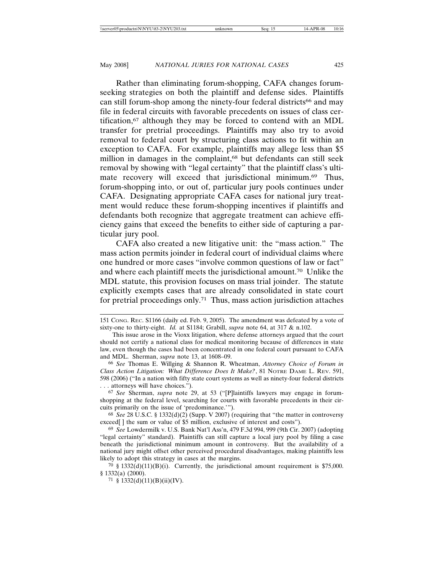Rather than eliminating forum-shopping, CAFA changes forumseeking strategies on both the plaintiff and defense sides. Plaintiffs can still forum-shop among the ninety-four federal districts<sup>66</sup> and may file in federal circuits with favorable precedents on issues of class certification,67 although they may be forced to contend with an MDL transfer for pretrial proceedings. Plaintiffs may also try to avoid removal to federal court by structuring class actions to fit within an exception to CAFA. For example, plaintiffs may allege less than \$5 million in damages in the complaint,<sup>68</sup> but defendants can still seek removal by showing with "legal certainty" that the plaintiff class's ultimate recovery will exceed that jurisdictional minimum.<sup>69</sup> Thus, forum-shopping into, or out of, particular jury pools continues under CAFA. Designating appropriate CAFA cases for national jury treatment would reduce these forum-shopping incentives if plaintiffs and defendants both recognize that aggregate treatment can achieve efficiency gains that exceed the benefits to either side of capturing a particular jury pool.

CAFA also created a new litigative unit: the "mass action." The mass action permits joinder in federal court of individual claims where one hundred or more cases "involve common questions of law or fact" and where each plaintiff meets the jurisdictional amount.70 Unlike the MDL statute, this provision focuses on mass trial joinder. The statute explicitly exempts cases that are already consolidated in state court for pretrial proceedings only.<sup>71</sup> Thus, mass action jurisdiction attaches

67 *See* Sherman, *supra* note 29, at 53 ("[P]laintiffs lawyers may engage in forumshopping at the federal level, searching for courts with favorable precedents in their circuits primarily on the issue of 'predominance.'").

68 *See* 28 U.S.C. § 1332(d)(2) (Supp. V 2007) (requiring that "the matter in controversy exceed[] the sum or value of \$5 million, exclusive of interest and costs").

<sup>151</sup> CONG. REC. S1166 (daily ed. Feb. 9, 2005). The amendment was defeated by a vote of sixty-one to thirty-eight. *Id.* at S1184; Grabill, *supra* note 64, at 317 & n.102.

This issue arose in the Vioxx litigation, where defense attorneys argued that the court should not certify a national class for medical monitoring because of differences in state law, even though the cases had been concentrated in one federal court pursuant to CAFA and MDL. Sherman, *supra* note 13, at 1608–09.

<sup>66</sup> *See* Thomas E. Willging & Shannon R. Wheatman, *Attorney Choice of Forum in Class Action Litigation: What Difference Does It Make?*, 81 NOTRE DAME L. REV. 591, 598 (2006) ("In a nation with fifty state court systems as well as ninety-four federal districts . . . attorneys will have choices.").

<sup>69</sup> *See* Lowdermilk v. U.S. Bank Nat'l Ass'n, 479 F.3d 994, 999 (9th Cir. 2007) (adopting "legal certainty" standard). Plaintiffs can still capture a local jury pool by filing a case beneath the jurisdictional minimum amount in controversy. But the availability of a national jury might offset other perceived procedural disadvantages, making plaintiffs less likely to adopt this strategy in cases at the margins.

<sup>&</sup>lt;sup>70</sup> § 1332(d)(11)(B)(i). Currently, the jurisdictional amount requirement is \$75,000. § 1332(a) (2000).

<sup>71 § 1332(</sup>d)(11)(B)(ii)(IV).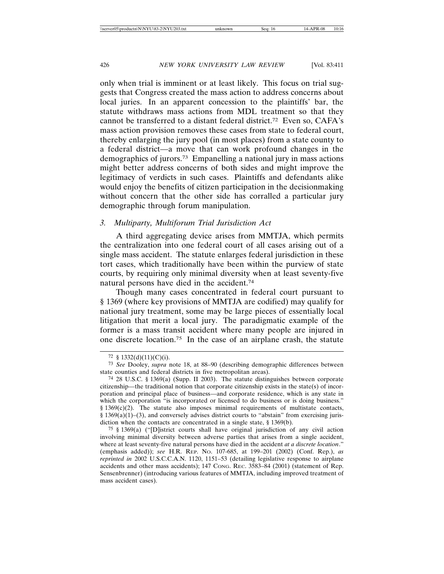only when trial is imminent or at least likely. This focus on trial suggests that Congress created the mass action to address concerns about local juries. In an apparent concession to the plaintiffs' bar, the statute withdraws mass actions from MDL treatment so that they cannot be transferred to a distant federal district.72 Even so, CAFA's mass action provision removes these cases from state to federal court, thereby enlarging the jury pool (in most places) from a state county to a federal district—a move that can work profound changes in the demographics of jurors.73 Empanelling a national jury in mass actions might better address concerns of both sides and might improve the legitimacy of verdicts in such cases. Plaintiffs and defendants alike would enjoy the benefits of citizen participation in the decisionmaking without concern that the other side has corralled a particular jury demographic through forum manipulation.

## *3. Multiparty, Multiforum Trial Jurisdiction Act*

A third aggregating device arises from MMTJA, which permits the centralization into one federal court of all cases arising out of a single mass accident. The statute enlarges federal jurisdiction in these tort cases, which traditionally have been within the purview of state courts, by requiring only minimal diversity when at least seventy-five natural persons have died in the accident.74

Though many cases concentrated in federal court pursuant to § 1369 (where key provisions of MMTJA are codified) may qualify for national jury treatment, some may be large pieces of essentially local litigation that merit a local jury. The paradigmatic example of the former is a mass transit accident where many people are injured in one discrete location.75 In the case of an airplane crash, the statute

<sup>72 § 1332(</sup>d)(11)(C)(i).

<sup>73</sup> *See* Dooley, *supra* note 18, at 88–90 (describing demographic differences between state counties and federal districts in five metropolitan areas).

<sup>74</sup> 28 U.S.C. § 1369(a) (Supp. II 2003). The statute distinguishes between corporate citizenship—the traditional notion that corporate citizenship exists in the state(s) of incorporation and principal place of business—and corporate residence, which is any state in which the corporation "is incorporated or licensed to do business or is doing business." § 1369(c)(2). The statute also imposes minimal requirements of multistate contacts, § 1369(a)(1)–(3), and conversely advises district courts to "abstain" from exercising jurisdiction when the contacts are concentrated in a single state, § 1369(b).

<sup>75</sup> § 1369(a) ("[D]istrict courts shall have original jurisdiction of any civil action involving minimal diversity between adverse parties that arises from a single accident, where at least seventy-five natural persons have died in the accident *at a discrete location*." (emphasis added)); *see* H.R. REP. NO. 107-685, at 199–201 (2002) (Conf. Rep.), *as reprinted in* 2002 U.S.C.C.A.N. 1120, 1151–53 (detailing legislative response to airplane accidents and other mass accidents); 147 CONG. REC. 3583–84 (2001) (statement of Rep. Sensenbrenner) (introducing various features of MMTJA, including improved treatment of mass accident cases).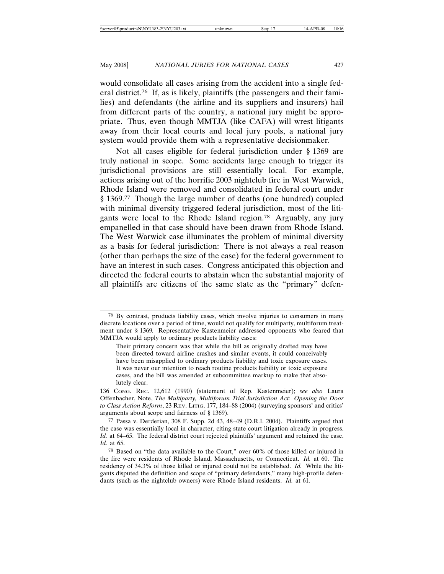would consolidate all cases arising from the accident into a single federal district.76 If, as is likely, plaintiffs (the passengers and their families) and defendants (the airline and its suppliers and insurers) hail from different parts of the country, a national jury might be appropriate. Thus, even though MMTJA (like CAFA) will wrest litigants away from their local courts and local jury pools, a national jury system would provide them with a representative decisionmaker.

Not all cases eligible for federal jurisdiction under § 1369 are truly national in scope. Some accidents large enough to trigger its jurisdictional provisions are still essentially local. For example, actions arising out of the horrific 2003 nightclub fire in West Warwick, Rhode Island were removed and consolidated in federal court under § 1369.77 Though the large number of deaths (one hundred) coupled with minimal diversity triggered federal jurisdiction, most of the litigants were local to the Rhode Island region.78 Arguably, any jury empanelled in that case should have been drawn from Rhode Island. The West Warwick case illuminates the problem of minimal diversity as a basis for federal jurisdiction: There is not always a real reason (other than perhaps the size of the case) for the federal government to have an interest in such cases. Congress anticipated this objection and directed the federal courts to abstain when the substantial majority of all plaintiffs are citizens of the same state as the "primary" defen-

<sup>76</sup> By contrast, products liability cases, which involve injuries to consumers in many discrete locations over a period of time, would not qualify for multiparty, multiforum treatment under § 1369*.* Representative Kastenmeier addressed opponents who feared that MMTJA would apply to ordinary products liability cases:

Their primary concern was that while the bill as originally drafted may have been directed toward airline crashes and similar events, it could conceivably have been misapplied to ordinary products liability and toxic exposure cases. It was never our intention to reach routine products liability or toxic exposure cases, and the bill was amended at subcommittee markup to make that absolutely clear.

<sup>136</sup> CONG. REC. 12,612 (1990) (statement of Rep. Kastenmeier); *see also* Laura Offenbacher, Note, *The Multiparty, Multiforum Trial Jurisdiction Act: Opening the Door to Class Action Reform*, 23 REV. LITIG. 177, 184–88 (2004) (surveying sponsors' and critics' arguments about scope and fairness of § 1369).

<sup>77</sup> Passa v. Derderian, 308 F. Supp. 2d 43, 48–49 (D.R.I. 2004). Plaintiffs argued that the case was essentially local in character, citing state court litigation already in progress. *Id.* at 64–65. The federal district court rejected plaintiffs' argument and retained the case. *Id.* at 65.

<sup>78</sup> Based on "the data available to the Court," over 60% of those killed or injured in the fire were residents of Rhode Island, Massachusetts, or Connecticut. *Id.* at 60. The residency of 34.3% of those killed or injured could not be established. *Id.* While the litigants disputed the definition and scope of "primary defendants," many high-profile defendants (such as the nightclub owners) were Rhode Island residents. *Id.* at 61.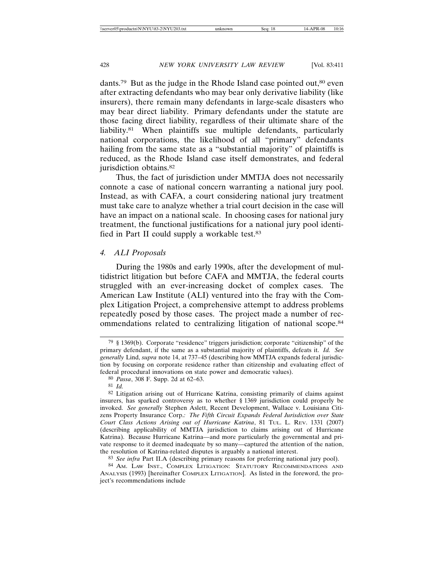dants.<sup>79</sup> But as the judge in the Rhode Island case pointed out,<sup>80</sup> even after extracting defendants who may bear only derivative liability (like insurers), there remain many defendants in large-scale disasters who may bear direct liability. Primary defendants under the statute are those facing direct liability, regardless of their ultimate share of the liability.81 When plaintiffs sue multiple defendants, particularly national corporations, the likelihood of all "primary" defendants hailing from the same state as a "substantial majority" of plaintiffs is reduced, as the Rhode Island case itself demonstrates, and federal jurisdiction obtains.<sup>82</sup>

Thus, the fact of jurisdiction under MMTJA does not necessarily connote a case of national concern warranting a national jury pool. Instead, as with CAFA, a court considering national jury treatment must take care to analyze whether a trial court decision in the case will have an impact on a national scale. In choosing cases for national jury treatment, the functional justifications for a national jury pool identified in Part II could supply a workable test.83

## *4. ALI Proposals*

During the 1980s and early 1990s, after the development of multidistrict litigation but before CAFA and MMTJA, the federal courts struggled with an ever-increasing docket of complex cases. The American Law Institute (ALI) ventured into the fray with the Complex Litigation Project, a comprehensive attempt to address problems repeatedly posed by those cases. The project made a number of recommendations related to centralizing litigation of national scope.84

<sup>79</sup> § 1369(b). Corporate "residence" triggers jurisdiction; corporate "citizenship" of the primary defendant, if the same as a substantial majority of plaintiffs, defeats it. *Id. See generally* Lind, *supra* note 14, at 737–45 (describing how MMTJA expands federal jurisdiction by focusing on corporate residence rather than citizenship and evaluating effect of federal procedural innovations on state power and democratic values).

<sup>80</sup> *Passa*, 308 F. Supp. 2d at 62–63.

<sup>81</sup> *Id.*

<sup>82</sup> Litigation arising out of Hurricane Katrina, consisting primarily of claims against insurers, has sparked controversy as to whether § 1369 jurisdiction could properly be invoked. *See generally* Stephen Aslett, Recent Development, Wallace v. Louisiana Citizens Property Insurance Corp.*: The Fifth Circuit Expands Federal Jurisdiction over State Court Class Actions Arising out of Hurricane Katrina*, 81 TUL. L. REV. 1331 (2007) (describing applicability of MMTJA jurisdiction to claims arising out of Hurricane Katrina). Because Hurricane Katrina—and more particularly the governmental and private response to it deemed inadequate by so many—captured the attention of the nation, the resolution of Katrina-related disputes is arguably a national interest.

<sup>83</sup> *See infra* Part II.A (describing primary reasons for preferring national jury pool).

<sup>84</sup> AM. LAW INST., COMPLEX LITIGATION: STATUTORY RECOMMENDATIONS AND ANALYSIS (1993) [hereinafter COMPLEX LITIGATION]. As listed in the foreword, the project's recommendations include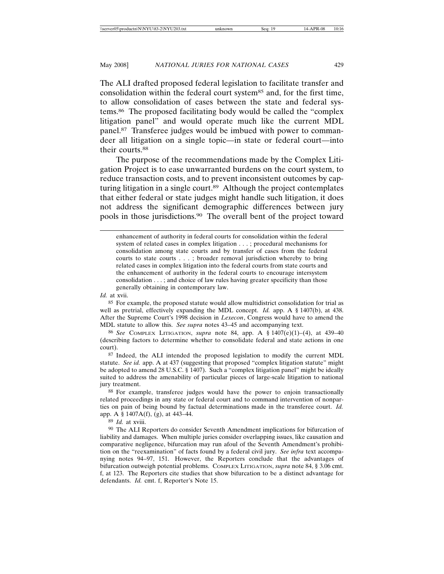The ALI drafted proposed federal legislation to facilitate transfer and consolidation within the federal court system85 and, for the first time, to allow consolidation of cases between the state and federal systems.86 The proposed facilitating body would be called the "complex litigation panel" and would operate much like the current MDL panel.87 Transferee judges would be imbued with power to commandeer all litigation on a single topic—in state or federal court—into their courts.88

The purpose of the recommendations made by the Complex Litigation Project is to ease unwarranted burdens on the court system, to reduce transaction costs, and to prevent inconsistent outcomes by capturing litigation in a single court.89 Although the project contemplates that either federal or state judges might handle such litigation, it does not address the significant demographic differences between jury pools in those jurisdictions.90 The overall bent of the project toward

*Id.* at xvii.

85 For example, the proposed statute would allow multidistrict consolidation for trial as well as pretrial, effectively expanding the MDL concept. *Id.* app. A § 1407(b), at 438. After the Supreme Court's 1998 decision in *Lexecon*, Congress would have to amend the MDL statute to allow this. *See supra* notes 43–45 and accompanying text.

86 *See* COMPLEX LITIGATION, *supra* note 84, app. A § 1407(e)(1)–(4), at 439–40 (describing factors to determine whether to consolidate federal and state actions in one court).

87 Indeed, the ALI intended the proposed legislation to modify the current MDL statute. *See id.* app. A at 437 (suggesting that proposed "complex litigation statute" might be adopted to amend 28 U.S.C. § 1407). Such a "complex litigation panel" might be ideally suited to address the amenability of particular pieces of large-scale litigation to national jury treatment.

88 For example, transferee judges would have the power to enjoin transactionally related proceedings in any state or federal court and to command intervention of nonparties on pain of being bound by factual determinations made in the transferee court. *Id.* app. A § 1407A(f), (g), at 443–44.

89 *Id.* at xviii.

90 The ALI Reporters do consider Seventh Amendment implications for bifurcation of liability and damages. When multiple juries consider overlapping issues, like causation and comparative negligence, bifurcation may run afoul of the Seventh Amendment's prohibition on the "reexamination" of facts found by a federal civil jury. *See infra* text accompanying notes 94–97, 151. However, the Reporters conclude that the advantages of bifurcation outweigh potential problems. COMPLEX LITIGATION, *supra* note 84, § 3.06 cmt. f, at 123. The Reporters cite studies that show bifurcation to be a distinct advantage for defendants. *Id.* cmt. f, Reporter's Note 15.

enhancement of authority in federal courts for consolidation within the federal system of related cases in complex litigation . . . ; procedural mechanisms for consolidation among state courts and by transfer of cases from the federal courts to state courts . . . ; broader removal jurisdiction whereby to bring related cases in complex litigation into the federal courts from state courts and the enhancement of authority in the federal courts to encourage intersystem consolidation . . . ; and choice of law rules having greater specificity than those generally obtaining in contemporary law.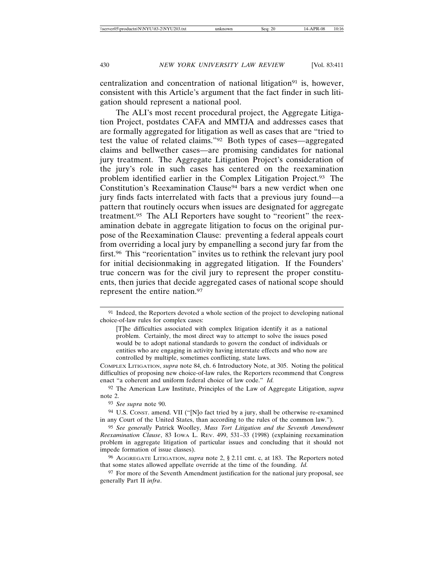centralization and concentration of national litigation<sup>91</sup> is, however, consistent with this Article's argument that the fact finder in such litigation should represent a national pool.

The ALI's most recent procedural project, the Aggregate Litigation Project, postdates CAFA and MMTJA and addresses cases that are formally aggregated for litigation as well as cases that are "tried to test the value of related claims."92 Both types of cases—aggregated claims and bellwether cases—are promising candidates for national jury treatment. The Aggregate Litigation Project's consideration of the jury's role in such cases has centered on the reexamination problem identified earlier in the Complex Litigation Project.93 The Constitution's Reexamination Clause<sup>94</sup> bars a new verdict when one jury finds facts interrelated with facts that a previous jury found—a pattern that routinely occurs when issues are designated for aggregate treatment.95 The ALI Reporters have sought to "reorient" the reexamination debate in aggregate litigation to focus on the original purpose of the Reexamination Clause: preventing a federal appeals court from overriding a local jury by empanelling a second jury far from the first.96 This "reorientation" invites us to rethink the relevant jury pool for initial decisionmaking in aggregated litigation. If the Founders' true concern was for the civil jury to represent the proper constituents, then juries that decide aggregated cases of national scope should represent the entire nation.97

<sup>&</sup>lt;sup>91</sup> Indeed, the Reporters devoted a whole section of the project to developing national choice-of-law rules for complex cases:

<sup>[</sup>T]he difficulties associated with complex litigation identify it as a national problem. Certainly, the most direct way to attempt to solve the issues posed would be to adopt national standards to govern the conduct of individuals or entities who are engaging in activity having interstate effects and who now are controlled by multiple, sometimes conflicting, state laws.

COMPLEX LITIGATION, *supra* note 84, ch. 6 Introductory Note, at 305. Noting the political difficulties of proposing new choice-of-law rules, the Reporters recommend that Congress enact "a coherent and uniform federal choice of law code." *Id.*

<sup>92</sup> The American Law Institute, Principles of the Law of Aggregate Litigation, *supra* note 2.

<sup>93</sup> *See supra* note 90.

<sup>94</sup> U.S. CONST. amend. VII ("[N]o fact tried by a jury, shall be otherwise re-examined in any Court of the United States, than according to the rules of the common law.").

<sup>95</sup> *See generally* Patrick Woolley, *Mass Tort Litigation and the Seventh Amendment Reexamination Clause*, 83 IOWA L. REV. 499, 531–33 (1998) (explaining reexamination problem in aggregate litigation of particular issues and concluding that it should not impede formation of issue classes).

<sup>96</sup> AGGREGATE LITIGATION, *supra* note 2, § 2.11 cmt. c, at 183. The Reporters noted that some states allowed appellate override at the time of the founding. *Id.*

<sup>&</sup>lt;sup>97</sup> For more of the Seventh Amendment justification for the national jury proposal, see generally Part II *infra*.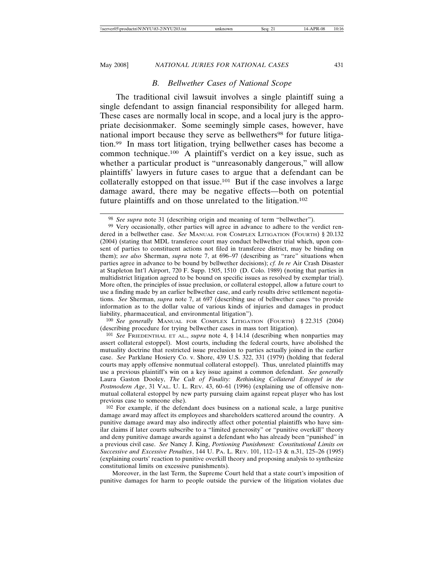## *B. Bellwether Cases of National Scope*

The traditional civil lawsuit involves a single plaintiff suing a single defendant to assign financial responsibility for alleged harm. These cases are normally local in scope, and a local jury is the appropriate decisionmaker. Some seemingly simple cases, however, have national import because they serve as bellwethers<sup>98</sup> for future litigation.99 In mass tort litigation, trying bellwether cases has become a common technique.100 A plaintiff's verdict on a key issue, such as whether a particular product is "unreasonably dangerous," will allow plaintiffs' lawyers in future cases to argue that a defendant can be collaterally estopped on that issue.101 But if the case involves a large damage award, there may be negative effects—both on potential future plaintiffs and on those unrelated to the litigation.102

100 *See generally* MANUAL FOR COMPLEX LITIGATION (FOURTH) § 22.315 (2004) (describing procedure for trying bellwether cases in mass tort litigation).

Moreover, in the last Term, the Supreme Court held that a state court's imposition of punitive damages for harm to people outside the purview of the litigation violates due

<sup>98</sup> *See supra* note 31 (describing origin and meaning of term "bellwether").

<sup>&</sup>lt;sup>99</sup> Very occasionally, other parties will agree in advance to adhere to the verdict rendered in a bellwether case. *See* MANUAL FOR COMPLEX LITIGATION (FOURTH) § 20.132 (2004) (stating that MDL transferee court may conduct bellwether trial which, upon consent of parties to constituent actions not filed in transferee district, may be binding on them); *see also* Sherman, *supra* note 7, at 696–97 (describing as "rare" situations when parties agree in advance to be bound by bellwether decisions); *cf. In re* Air Crash Disaster at Stapleton Int'l Airport, 720 F. Supp. 1505, 1510 (D. Colo. 1989) (noting that parties in multidistrict litigation agreed to be bound on specific issues as resolved by exemplar trial). More often, the principles of issue preclusion, or collateral estoppel, allow a future court to use a finding made by an earlier bellwether case, and early results drive settlement negotiations. *See* Sherman, *supra* note 7, at 697 (describing use of bellwether cases "to provide information as to the dollar value of various kinds of injuries and damages in product liability, pharmaceutical, and environmental litigation").

<sup>101</sup> *See* FRIEDENTHAL ET AL., *supra* note 4, § 14.14 (describing when nonparties may assert collateral estoppel). Most courts, including the federal courts, have abolished the mutuality doctrine that restricted issue preclusion to parties actually joined in the earlier case. *See* Parklane Hosiery Co. v. Shore, 439 U.S. 322, 331 (1979) (holding that federal courts may apply offensive nonmutual collateral estoppel). Thus, unrelated plaintiffs may use a previous plaintiff's win on a key issue against a common defendant. *See generally* Laura Gaston Dooley, *The Cult of Finality: Rethinking Collateral Estoppel in the Postmodern Age*, 31 VAL. U. L. REV. 43, 60–61 (1996) (explaining use of offensive nonmutual collateral estoppel by new party pursuing claim against repeat player who has lost previous case to someone else).

<sup>102</sup> For example, if the defendant does business on a national scale, a large punitive damage award may affect its employees and shareholders scattered around the country. A punitive damage award may also indirectly affect other potential plaintiffs who have similar claims if later courts subscribe to a "limited generosity" or "punitive overkill" theory and deny punitive damage awards against a defendant who has already been "punished" in a previous civil case. *See* Nancy J. King, *Portioning Punishment: Constitutional Limits on Successive and Excessive Penalties*, 144 U. PA. L. REV. 101, 112–13 & n.31, 125–26 (1995) (explaining courts' reaction to punitive overkill theory and proposing analysis to synthesize constitutional limits on excessive punishments).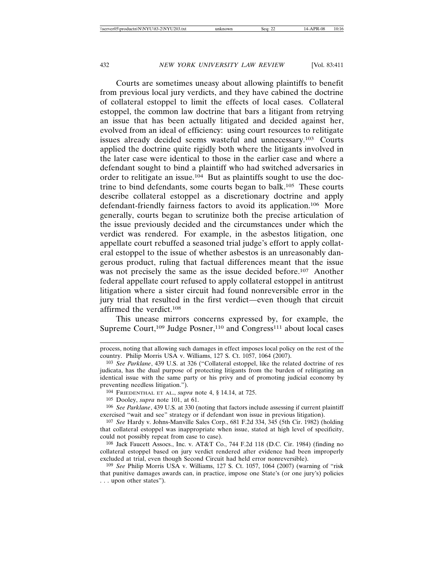Courts are sometimes uneasy about allowing plaintiffs to benefit from previous local jury verdicts, and they have cabined the doctrine of collateral estoppel to limit the effects of local cases. Collateral estoppel, the common law doctrine that bars a litigant from retrying an issue that has been actually litigated and decided against her, evolved from an ideal of efficiency: using court resources to relitigate issues already decided seems wasteful and unnecessary.103 Courts applied the doctrine quite rigidly both where the litigants involved in the later case were identical to those in the earlier case and where a defendant sought to bind a plaintiff who had switched adversaries in order to relitigate an issue.104 But as plaintiffs sought to use the doctrine to bind defendants, some courts began to balk.105 These courts describe collateral estoppel as a discretionary doctrine and apply defendant-friendly fairness factors to avoid its application.106 More generally, courts began to scrutinize both the precise articulation of the issue previously decided and the circumstances under which the verdict was rendered. For example, in the asbestos litigation, one appellate court rebuffed a seasoned trial judge's effort to apply collateral estoppel to the issue of whether asbestos is an unreasonably dangerous product, ruling that factual differences meant that the issue was not precisely the same as the issue decided before.<sup>107</sup> Another federal appellate court refused to apply collateral estoppel in antitrust litigation where a sister circuit had found nonreversible error in the jury trial that resulted in the first verdict—even though that circuit affirmed the verdict.108

This unease mirrors concerns expressed by, for example, the Supreme Court,<sup>109</sup> Judge Posner,<sup>110</sup> and Congress<sup>111</sup> about local cases

106 *See Parklane*, 439 U.S. at 330 (noting that factors include assessing if current plaintiff exercised "wait and see" strategy or if defendant won issue in previous litigation).

107 *See* Hardy v. Johns-Manville Sales Corp., 681 F.2d 334, 345 (5th Cir. 1982) (holding that collateral estoppel was inappropriate when issue, stated at high level of specificity, could not possibly repeat from case to case).

108 Jack Faucett Assocs., Inc. v. AT&T Co., 744 F.2d 118 (D.C. Cir. 1984) (finding no collateral estoppel based on jury verdict rendered after evidence had been improperly excluded at trial, even though Second Circuit had held error nonreversible).

109 *See* Philip Morris USA v. Williams, 127 S. Ct. 1057, 1064 (2007) (warning of "risk that punitive damages awards can, in practice, impose one State's (or one jury's) policies . . . upon other states").

process, noting that allowing such damages in effect imposes local policy on the rest of the country. Philip Morris USA v. Williams, 127 S. Ct. 1057, 1064 (2007).

<sup>103</sup> *See Parklane*, 439 U.S. at 326 ("Collateral estoppel, like the related doctrine of res judicata, has the dual purpose of protecting litigants from the burden of relitigating an identical issue with the same party or his privy and of promoting judicial economy by preventing needless litigation.").

<sup>104</sup> FRIEDENTHAL ET AL., *supra* note 4, § 14.14, at 725.

<sup>105</sup> Dooley, *supra* note 101, at 61.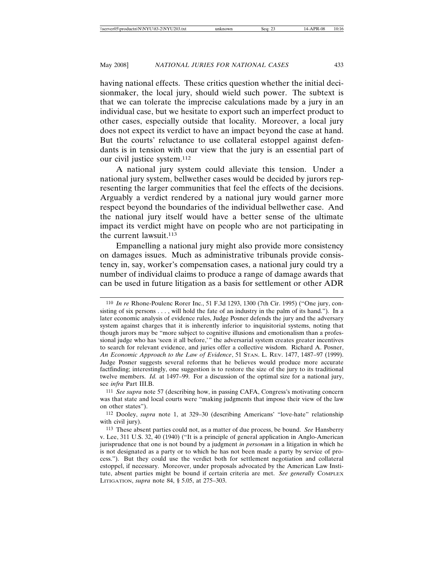having national effects. These critics question whether the initial decisionmaker, the local jury, should wield such power. The subtext is that we can tolerate the imprecise calculations made by a jury in an individual case, but we hesitate to export such an imperfect product to other cases, especially outside that locality. Moreover, a local jury does not expect its verdict to have an impact beyond the case at hand. But the courts' reluctance to use collateral estoppel against defendants is in tension with our view that the jury is an essential part of our civil justice system.112

A national jury system could alleviate this tension. Under a national jury system, bellwether cases would be decided by jurors representing the larger communities that feel the effects of the decisions. Arguably a verdict rendered by a national jury would garner more respect beyond the boundaries of the individual bellwether case. And the national jury itself would have a better sense of the ultimate impact its verdict might have on people who are not participating in the current lawsuit.<sup>113</sup>

Empanelling a national jury might also provide more consistency on damages issues. Much as administrative tribunals provide consistency in, say, worker's compensation cases, a national jury could try a number of individual claims to produce a range of damage awards that can be used in future litigation as a basis for settlement or other ADR

<sup>110</sup> *In re* Rhone-Poulenc Rorer Inc., 51 F.3d 1293, 1300 (7th Cir. 1995) ("One jury, consisting of six persons . . . , will hold the fate of an industry in the palm of its hand."). In a later economic analysis of evidence rules, Judge Posner defends the jury and the adversary system against charges that it is inherently inferior to inquisitorial systems, noting that though jurors may be "more subject to cognitive illusions and emotionalism than a professional judge who has 'seen it all before,'" the adversarial system creates greater incentives to search for relevant evidence, and juries offer a collective wisdom. Richard A. Posner, *An Economic Approach to the Law of Evidence*, 51 STAN. L. REV. 1477, 1487–97 (1999). Judge Posner suggests several reforms that he believes would produce more accurate factfinding; interestingly, one suggestion is to restore the size of the jury to its traditional twelve members. *Id.* at 1497–99. For a discussion of the optimal size for a national jury, see *infra* Part III.B.

<sup>111</sup> *See supra* note 57 (describing how, in passing CAFA, Congress's motivating concern was that state and local courts were "making judgments that impose their view of the law on other states").

<sup>112</sup> Dooley, *supra* note 1, at 329–30 (describing Americans' "love-hate" relationship with civil jury).

<sup>113</sup> These absent parties could not, as a matter of due process, be bound. *See* Hansberry v. Lee, 311 U.S. 32, 40 (1940) ("It is a principle of general application in Anglo-American jurisprudence that one is not bound by a judgment *in personam* in a litigation in which he is not designated as a party or to which he has not been made a party by service of process."). But they could use the verdict both for settlement negotiation and collateral estoppel, if necessary. Moreover, under proposals advocated by the American Law Institute, absent parties might be bound if certain criteria are met. *See generally* COMPLEX LITIGATION, *supra* note 84, § 5.05, at 275–303.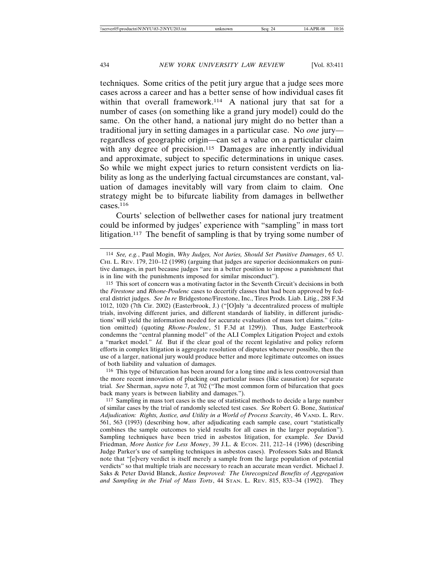techniques. Some critics of the petit jury argue that a judge sees more cases across a career and has a better sense of how individual cases fit within that overall framework.<sup>114</sup> A national jury that sat for a number of cases (on something like a grand jury model) could do the same. On the other hand, a national jury might do no better than a traditional jury in setting damages in a particular case. No *one* jury regardless of geographic origin—can set a value on a particular claim with any degree of precision.<sup>115</sup> Damages are inherently individual and approximate, subject to specific determinations in unique cases. So while we might expect juries to return consistent verdicts on liability as long as the underlying factual circumstances are constant, valuation of damages inevitably will vary from claim to claim. One strategy might be to bifurcate liability from damages in bellwether cases.116

Courts' selection of bellwether cases for national jury treatment could be informed by judges' experience with "sampling" in mass tort litigation.<sup>117</sup> The benefit of sampling is that by trying some number of

116 This type of bifurcation has been around for a long time and is less controversial than the more recent innovation of plucking out particular issues (like causation) for separate trial. *See* Sherman, *supra* note 7, at 702 ("The most common form of bifurcation that goes back many years is between liability and damages.").

<sup>114</sup> *See, e.g.*, Paul Mogin, *Why Judges, Not Juries, Should Set Punitive Damages*, 65 U. CHI. L. REV. 179, 210–12 (1998) (arguing that judges are superior decisionmakers on punitive damages, in part because judges "are in a better position to impose a punishment that is in line with the punishments imposed for similar misconduct").

<sup>115</sup> This sort of concern was a motivating factor in the Seventh Circuit's decisions in both the *Firestone* and *Rhone-Poulenc* cases to decertify classes that had been approved by federal district judges. *See In re* Bridgestone/Firestone, Inc., Tires Prods. Liab. Litig., 288 F.3d 1012, 1020 (7th Cir. 2002) (Easterbrook, J.) ("[O]nly 'a decentralized process of multiple trials, involving different juries, and different standards of liability, in different jurisdictions' will yield the information needed for accurate evaluation of mass tort claims." (citation omitted) (quoting *Rhone-Poulenc*, 51 F.3d at 1299)). Thus, Judge Easterbrook condemns the "central planning model" of the ALI Complex Litigation Project and extols a "market model." *Id.* But if the clear goal of the recent legislative and policy reform efforts in complex litigation is aggregate resolution of disputes whenever possible, then the use of a larger, national jury would produce better and more legitimate outcomes on issues of both liability and valuation of damages.

<sup>117</sup> Sampling in mass tort cases is the use of statistical methods to decide a large number of similar cases by the trial of randomly selected test cases. *See* Robert G. Bone, *Statistical Adjudication: Rights, Justice, and Utility in a World of Process Scarcity*, 46 VAND. L. REV. 561, 563 (1993) (describing how, after adjudicating each sample case, court "statistically combines the sample outcomes to yield results for all cases in the larger population"). Sampling techniques have been tried in asbestos litigation, for example. *See* David Friedman, *More Justice for Less Money*, 39 J.L. & ECON. 211, 212-14 (1996) (describing Judge Parker's use of sampling techniques in asbestos cases). Professors Saks and Blanck note that "[e]very verdict is itself merely a sample from the large population of potential verdicts" so that multiple trials are necessary to reach an accurate mean verdict. Michael J. Saks & Peter David Blanck, *Justice Improved: The Unrecognized Benefits of Aggregation and Sampling in the Trial of Mass Torts*, 44 STAN. L. REV. 815, 833–34 (1992). They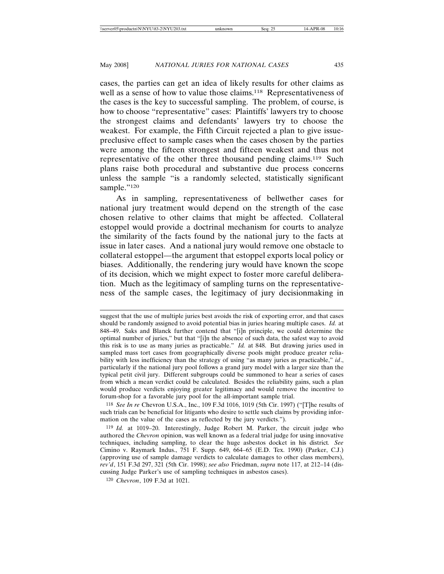cases, the parties can get an idea of likely results for other claims as well as a sense of how to value those claims.<sup>118</sup> Representativeness of the cases is the key to successful sampling. The problem, of course, is how to choose "representative" cases: Plaintiffs' lawyers try to choose the strongest claims and defendants' lawyers try to choose the weakest. For example, the Fifth Circuit rejected a plan to give issuepreclusive effect to sample cases when the cases chosen by the parties were among the fifteen strongest and fifteen weakest and thus not representative of the other three thousand pending claims.119 Such plans raise both procedural and substantive due process concerns unless the sample "is a randomly selected, statistically significant sample."<sup>120</sup>

As in sampling, representativeness of bellwether cases for national jury treatment would depend on the strength of the case chosen relative to other claims that might be affected. Collateral estoppel would provide a doctrinal mechanism for courts to analyze the similarity of the facts found by the national jury to the facts at issue in later cases. And a national jury would remove one obstacle to collateral estoppel—the argument that estoppel exports local policy or biases. Additionally, the rendering jury would have known the scope of its decision, which we might expect to foster more careful deliberation. Much as the legitimacy of sampling turns on the representativeness of the sample cases, the legitimacy of jury decisionmaking in

118 *See In re* Chevron U.S.A., Inc., 109 F.3d 1016, 1019 (5th Cir. 1997) ("[T]he results of such trials can be beneficial for litigants who desire to settle such claims by providing information on the value of the cases as reflected by the jury verdicts.").

suggest that the use of multiple juries best avoids the risk of exporting error, and that cases should be randomly assigned to avoid potential bias in juries hearing multiple cases. *Id.* at 848–49. Saks and Blanck further contend that "[i]n principle, we could determine the optimal number of juries," but that "[i]n the absence of such data, the safest way to avoid this risk is to use as many juries as practicable." *Id.* at 848. But drawing juries used in sampled mass tort cases from geographically diverse pools might produce greater reliability with less inefficiency than the strategy of using "as many juries as practicable," *id.*, particularly if the national jury pool follows a grand jury model with a larger size than the typical petit civil jury. Different subgroups could be summoned to hear a series of cases from which a mean verdict could be calculated. Besides the reliability gains, such a plan would produce verdicts enjoying greater legitimacy and would remove the incentive to forum-shop for a favorable jury pool for the all-important sample trial.

<sup>119</sup> *Id.* at 1019–20. Interestingly, Judge Robert M. Parker, the circuit judge who authored the *Chevron* opinion, was well known as a federal trial judge for using innovative techniques, including sampling, to clear the huge asbestos docket in his district*. See* Cimino v. Raymark Indus., 751 F. Supp. 649, 664–65 (E.D. Tex. 1990) (Parker, C.J.) (approving use of sample damage verdicts to calculate damages to other class members), *rev'd*, 151 F.3d 297, 321 (5th Cir. 1998); *see also* Friedman, *supra* note 117, at 212–14 (discussing Judge Parker's use of sampling techniques in asbestos cases).

<sup>120</sup> *Chevron*, 109 F.3d at 1021.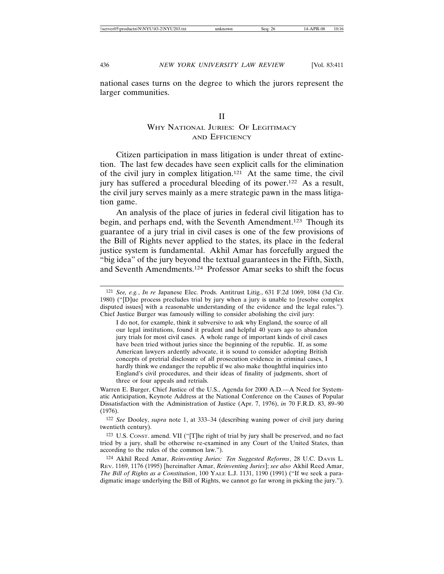national cases turns on the degree to which the jurors represent the larger communities.

# II WHY NATIONAL JURIES: OF LEGITIMACY AND EFFICIENCY

Citizen participation in mass litigation is under threat of extinction. The last few decades have seen explicit calls for the elimination of the civil jury in complex litigation.121 At the same time, the civil jury has suffered a procedural bleeding of its power.122 As a result, the civil jury serves mainly as a mere strategic pawn in the mass litigation game.

An analysis of the place of juries in federal civil litigation has to begin, and perhaps end, with the Seventh Amendment.123 Though its guarantee of a jury trial in civil cases is one of the few provisions of the Bill of Rights never applied to the states, its place in the federal justice system is fundamental. Akhil Amar has forcefully argued the "big idea" of the jury beyond the textual guarantees in the Fifth, Sixth, and Seventh Amendments.124 Professor Amar seeks to shift the focus

Warren E. Burger, Chief Justice of the U.S., Agenda for 2000 A.D.—A Need for Systematic Anticipation, Keynote Address at the National Conference on the Causes of Popular Dissatisfaction with the Administration of Justice (Apr. 7, 1976), *in* 70 F.R.D. 83, 89–90 (1976).

122 *See* Dooley, *supra* note 1, at 333–34 (describing waning power of civil jury during twentieth century).

123 U.S. CONST. amend. VII ("[T]he right of trial by jury shall be preserved, and no fact tried by a jury, shall be otherwise re-examined in any Court of the United States, than according to the rules of the common law.").

124 Akhil Reed Amar, *Reinventing Juries: Ten Suggested Reforms*, 28 U.C. DAVIS L. REV. 1169, 1176 (1995) [hereinafter Amar, *Reinventing Juries*]; *see also* Akhil Reed Amar, *The Bill of Rights as a Constitution*, 100 YALE L.J. 1131, 1190 (1991) ("If we seek a paradigmatic image underlying the Bill of Rights, we cannot go far wrong in picking the jury.").

<sup>121</sup> *See, e.g.*, *In re* Japanese Elec. Prods. Antitrust Litig., 631 F.2d 1069, 1084 (3d Cir. 1980) ("[D]ue process precludes trial by jury when a jury is unable to [resolve complex disputed issues] with a reasonable understanding of the evidence and the legal rules."). Chief Justice Burger was famously willing to consider abolishing the civil jury:

I do not, for example, think it subversive to ask why England, the source of all our legal institutions, found it prudent and helpful 40 years ago to abandon jury trials for most civil cases. A whole range of important kinds of civil cases have been tried without juries since the beginning of the republic. If, as some American lawyers ardently advocate, it is sound to consider adopting British concepts of pretrial disclosure of all prosecution evidence in criminal cases, I hardly think we endanger the republic if we also make thoughtful inquiries into England's civil procedures, and their ideas of finality of judgments, short of three or four appeals and retrials.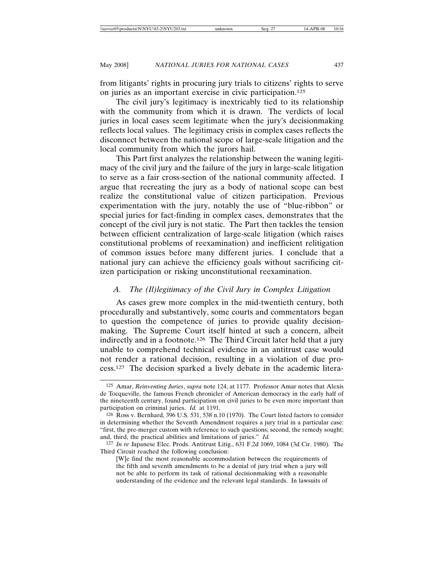from litigants' rights in procuring jury trials to citizens' rights to serve on juries as an important exercise in civic participation.125

The civil jury's legitimacy is inextricably tied to its relationship with the community from which it is drawn. The verdicts of local juries in local cases seem legitimate when the jury's decisionmaking reflects local values. The legitimacy crisis in complex cases reflects the disconnect between the national scope of large-scale litigation and the local community from which the jurors hail.

This Part first analyzes the relationship between the waning legitimacy of the civil jury and the failure of the jury in large-scale litigation to serve as a fair cross-section of the national community affected. I argue that recreating the jury as a body of national scope can best realize the constitutional value of citizen participation. Previous experimentation with the jury, notably the use of "blue-ribbon" or special juries for fact-finding in complex cases, demonstrates that the concept of the civil jury is not static. The Part then tackles the tension between efficient centralization of large-scale litigation (which raises constitutional problems of reexamination) and inefficient relitigation of common issues before many different juries. I conclude that a national jury can achieve the efficiency goals without sacrificing citizen participation or risking unconstitutional reexamination.

## *A. The (Il)legitimacy of the Civil Jury in Complex Litigation*

As cases grew more complex in the mid-twentieth century, both procedurally and substantively, some courts and commentators began to question the competence of juries to provide quality decisionmaking. The Supreme Court itself hinted at such a concern, albeit indirectly and in a footnote.126 The Third Circuit later held that a jury unable to comprehend technical evidence in an antitrust case would not render a rational decision, resulting in a violation of due process.127 The decision sparked a lively debate in the academic litera-

<sup>125</sup> Amar, *Reinventing Juries*, *supra* note 124, at 1177. Professor Amar notes that Alexis de Tocqueville, the famous French chronicler of American democracy in the early half of the nineteenth century, found participation on civil juries to be even more important than participation on criminal juries. *Id.* at 1191.

<sup>126</sup> Ross v. Bernhard, 396 U.S. 531, 538 n.10 (1970). The Court listed factors to consider in determining whether the Seventh Amendment requires a jury trial in a particular case: "first, the pre-merger custom with reference to such questions; second, the remedy sought; and, third, the practical abilities and limitations of juries." *Id.*

<sup>127</sup> *In re* Japanese Elec. Prods. Antitrust Litig., 631 F.2d 1069, 1084 (3d Cir. 1980). The Third Circuit reached the following conclusion:

<sup>[</sup>W]e find the most reasonable accommodation between the requirements of the fifth and seventh amendments to be a denial of jury trial when a jury will not be able to perform its task of rational decisionmaking with a reasonable understanding of the evidence and the relevant legal standards. In lawsuits of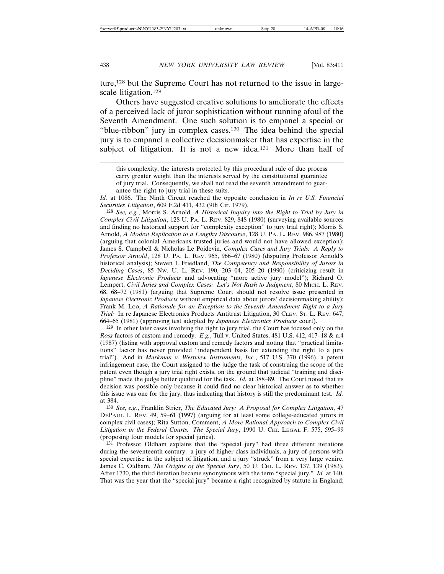ture,<sup>128</sup> but the Supreme Court has not returned to the issue in largescale litigation.<sup>129</sup>

Others have suggested creative solutions to ameliorate the effects of a perceived lack of juror sophistication without running afoul of the Seventh Amendment. One such solution is to empanel a special or "blue-ribbon" jury in complex cases.130 The idea behind the special jury is to empanel a collective decisionmaker that has expertise in the subject of litigation. It is not a new idea.<sup>131</sup> More than half of

*Id.* at 1086. The Ninth Circuit reached the opposite conclusion in *In re U.S. Financial Securities Litigation*, 609 F.2d 411, 432 (9th Cir. 1979).

128 *See, e.g.*, Morris S. Arnold, *A Historical Inquiry into the Right to Trial by Jury in Complex Civil Litigation*, 128 U. PA. L. REV. 829, 848 (1980) (surveying available sources and finding no historical support for "complexity exception" to jury trial right); Morris S. Arnold, *A Modest Replication to a Lengthy Discourse*, 128 U. PA. L. REV. 986, 987 (1980) (arguing that colonial Americans trusted juries and would not have allowed exception); James S. Campbell & Nicholas Le Poidevin, *Complex Cases and Jury Trials: A Reply to Professor Arnold*, 128 U. PA. L. REV. 965, 966–67 (1980) (disputing Professor Arnold's historical analysis); Steven I. Friedland, *The Competency and Responsibility of Jurors in Deciding Cases*, 85 NW. U. L. REV. 190, 203–04, 205–20 (1990) (criticizing result in *Japanese Electronic Products* and advocating "more active jury model"); Richard O. Lempert, *Civil Juries and Complex Cases: Let's Not Rush to Judgment*, 80 MICH. L. REV. 68, 68–72 (1981) (arguing that Supreme Court should not resolve issue presented in *Japanese Electronic Products* without empirical data about jurors' decisionmaking ability); Frank M. Loo, *A Rationale for an Exception to the Seventh Amendment Right to a Jury Trial:* In re Japanese Electronics Products Antitrust Litigation, 30 CLEV. ST. L. REV. 647, 664–65 (1981) (approving test adopted by *Japanese Electronics Products* court).

129 In other later cases involving the right to jury trial, the Court has focused only on the *Ross* factors of custom and remedy. *E.g.*, Tull v. United States, 481 U.S. 412, 417–18 & n.4 (1987) (listing with approval custom and remedy factors and noting that "practical limitations" factor has never provided "independent basis for extending the right to a jury trial"). And in *Markman v. Westview Instruments, Inc.*, 517 U.S. 370 (1996), a patent infringement case, the Court assigned to the judge the task of construing the scope of the patent even though a jury trial right exists, on the ground that judicial "training and discipline" made the judge better qualified for the task. *Id.* at 388–89. The Court noted that its decision was possible only because it could find no clear historical answer as to whether this issue was one for the jury, thus indicating that history is still the predominant test. *Id.* at 384.

130 *See, e.g.*, Franklin Strier, *The Educated Jury: A Proposal for Complex Litigation*, 47 DEPAUL L. REV. 49, 59–61 (1997) (arguing for at least some college-educated jurors in complex civil cases); Rita Sutton, Comment, *A More Rational Approach to Complex Civil Litigation in the Federal Courts: The Special Jury*, 1990 U. CHI. LEGAL F. 575, 595–99 (proposing four models for special juries).

131 Professor Oldham explains that the "special jury" had three different iterations during the seventeenth century: a jury of higher-class individuals, a jury of persons with special expertise in the subject of litigation, and a jury "struck" from a very large venire. James C. Oldham, *The Origins of the Special Jury*, 50 U. CHI. L. REV. 137, 139 (1983). After 1730, the third iteration became synonymous with the term "special jury." *Id.* at 140. That was the year that the "special jury" became a right recognized by statute in England;

this complexity, the interests protected by this procedural rule of due process carry greater weight than the interests served by the constitutional guarantee of jury trial. Consequently, we shall not read the seventh amendment to guarantee the right to jury trial in these suits.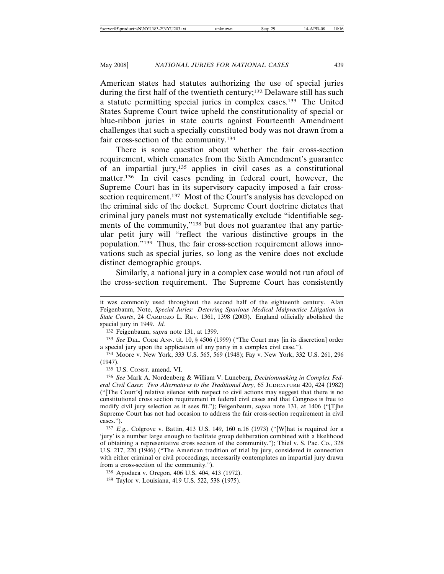American states had statutes authorizing the use of special juries during the first half of the twentieth century;<sup>132</sup> Delaware still has such a statute permitting special juries in complex cases.133 The United States Supreme Court twice upheld the constitutionality of special or blue-ribbon juries in state courts against Fourteenth Amendment challenges that such a specially constituted body was not drawn from a fair cross-section of the community.134

There is some question about whether the fair cross-section requirement, which emanates from the Sixth Amendment's guarantee of an impartial jury,135 applies in civil cases as a constitutional matter.<sup>136</sup> In civil cases pending in federal court, however, the Supreme Court has in its supervisory capacity imposed a fair crosssection requirement.<sup>137</sup> Most of the Court's analysis has developed on the criminal side of the docket. Supreme Court doctrine dictates that criminal jury panels must not systematically exclude "identifiable segments of the community,"138 but does not guarantee that any particular petit jury will "reflect the various distinctive groups in the population."139 Thus, the fair cross-section requirement allows innovations such as special juries, so long as the venire does not exclude distinct demographic groups.

Similarly, a national jury in a complex case would not run afoul of the cross-section requirement. The Supreme Court has consistently

133 *See* DEL. CODE ANN. tit. 10, § 4506 (1999) ("The Court may [in its discretion] order a special jury upon the application of any party in a complex civil case.").

135 U.S. CONST. amend. VI.

136 *See* Mark A. Nordenberg & William V. Luneberg, *Decisionmaking in Complex Federal Civil Cases: Two Alternatives to the Traditional Jury*, 65 JUDICATURE 420, 424 (1982) ("[The Court's] relative silence with respect to civil actions may suggest that there is no constitutional cross section requirement in federal civil cases and that Congress is free to modify civil jury selection as it sees fit."); Feigenbaum, *supra* note 131, at 1406 ("[T]he Supreme Court has not had occasion to address the fair cross-section requirement in civil cases.").

137 *E.g.*, Colgrove v. Battin, 413 U.S. 149, 160 n.16 (1973) ("[W]hat is required for a 'jury' is a number large enough to facilitate group deliberation combined with a likelihood of obtaining a representative cross section of the community."); Thiel v. S. Pac. Co., 328 U.S. 217, 220 (1946) ("The American tradition of trial by jury, considered in connection with either criminal or civil proceedings, necessarily contemplates an impartial jury drawn from a cross-section of the community.").

it was commonly used throughout the second half of the eighteenth century. Alan Feigenbaum, Note, *Special Juries: Deterring Spurious Medical Malpractice Litigation in State Courts*, 24 CARDOZO L. REV. 1361, 1398 (2003). England officially abolished the special jury in 1949. *Id.*

<sup>132</sup> Feigenbaum, *supra* note 131, at 1399.

<sup>134</sup> Moore v. New York, 333 U.S. 565, 569 (1948); Fay v. New York, 332 U.S. 261, 296 (1947).

<sup>138</sup> Apodaca v. Oregon, 406 U.S. 404, 413 (1972).

<sup>139</sup> Taylor v. Louisiana, 419 U.S. 522, 538 (1975).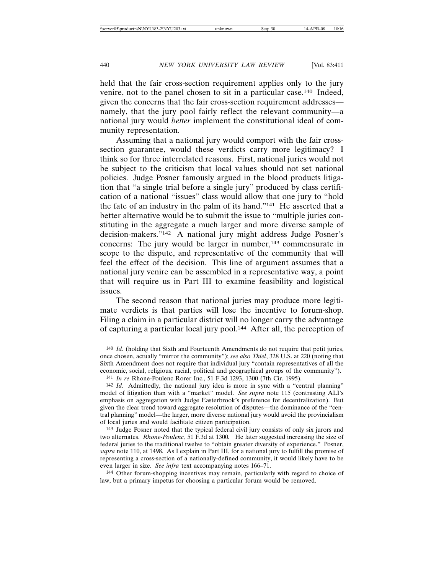held that the fair cross-section requirement applies only to the jury venire, not to the panel chosen to sit in a particular case.140 Indeed, given the concerns that the fair cross-section requirement addresses namely, that the jury pool fairly reflect the relevant community—a national jury would *better* implement the constitutional ideal of community representation.

Assuming that a national jury would comport with the fair crosssection guarantee, would these verdicts carry more legitimacy? I think so for three interrelated reasons. First, national juries would not be subject to the criticism that local values should not set national policies. Judge Posner famously argued in the blood products litigation that "a single trial before a single jury" produced by class certification of a national "issues" class would allow that one jury to "hold the fate of an industry in the palm of its hand."141 He asserted that a better alternative would be to submit the issue to "multiple juries constituting in the aggregate a much larger and more diverse sample of decision-makers."142 A national jury might address Judge Posner's concerns: The jury would be larger in number,<sup>143</sup> commensurate in scope to the dispute, and representative of the community that will feel the effect of the decision. This line of argument assumes that a national jury venire can be assembled in a representative way, a point that will require us in Part III to examine feasibility and logistical issues.

The second reason that national juries may produce more legitimate verdicts is that parties will lose the incentive to forum-shop. Filing a claim in a particular district will no longer carry the advantage of capturing a particular local jury pool.144 After all, the perception of

<sup>140</sup> *Id.* (holding that Sixth and Fourteenth Amendments do not require that petit juries, once chosen, actually "mirror the community"); *see also Thiel*, 328 U.S. at 220 (noting that Sixth Amendment does not require that individual jury "contain representatives of all the economic, social, religious, racial, political and geographical groups of the community").

<sup>141</sup> *In re* Rhone-Poulenc Rorer Inc., 51 F.3d 1293, 1300 (7th Cir. 1995).

<sup>142</sup> *Id.* Admittedly, the national jury idea is more in sync with a "central planning" model of litigation than with a "market" model. *See supra* note 115 (contrasting ALI's emphasis on aggregation with Judge Easterbrook's preference for decentralization). But given the clear trend toward aggregate resolution of disputes—the dominance of the "central planning" model—the larger, more diverse national jury would avoid the provincialism of local juries and would facilitate citizen participation.

<sup>143</sup> Judge Posner noted that the typical federal civil jury consists of only six jurors and two alternates. *Rhone-Poulenc*, 51 F.3d at 1300*.* He later suggested increasing the size of federal juries to the traditional twelve to "obtain greater diversity of experience." Posner, *supra* note 110, at 1498. As I explain in Part III, for a national jury to fulfill the promise of representing a cross-section of a nationally-defined community, it would likely have to be even larger in size. *See infra* text accompanying notes 166–71.

<sup>144</sup> Other forum-shopping incentives may remain, particularly with regard to choice of law, but a primary impetus for choosing a particular forum would be removed.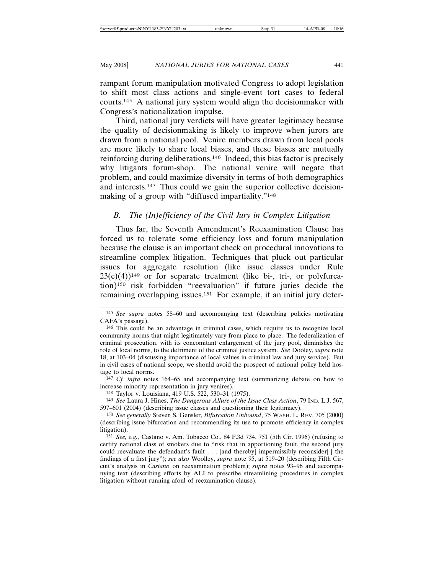rampant forum manipulation motivated Congress to adopt legislation to shift most class actions and single-event tort cases to federal courts.145 A national jury system would align the decisionmaker with Congress's nationalization impulse.

Third, national jury verdicts will have greater legitimacy because the quality of decisionmaking is likely to improve when jurors are drawn from a national pool. Venire members drawn from local pools are more likely to share local biases, and these biases are mutually reinforcing during deliberations.146 Indeed, this bias factor is precisely why litigants forum-shop. The national venire will negate that problem, and could maximize diversity in terms of both demographics and interests.147 Thus could we gain the superior collective decisionmaking of a group with "diffused impartiality."<sup>148</sup>

## *B. The (In)efficiency of the Civil Jury in Complex Litigation*

Thus far, the Seventh Amendment's Reexamination Clause has forced us to tolerate some efficiency loss and forum manipulation because the clause is an important check on procedural innovations to streamline complex litigation. Techniques that pluck out particular issues for aggregate resolution (like issue classes under Rule  $23(c)(4)$ <sup>149</sup> or for separate treatment (like bi-, tri-, or polyfurcation)150 risk forbidden "reevaluation" if future juries decide the remaining overlapping issues.151 For example, if an initial jury deter-

147 *Cf. infra* notes 164–65 and accompanying text (summarizing debate on how to increase minority representation in jury venires).

148 Taylor v. Louisiana, 419 U.S. 522, 530–31 (1975).

149 *See* Laura J. Hines, *The Dangerous Allure of the Issue Class Action*, 79 IND. L.J. 567, 597–601 (2004) (describing issue classes and questioning their legitimacy).

<sup>145</sup> *See supra* notes 58–60 and accompanying text (describing policies motivating CAFA's passage).

<sup>146</sup> This could be an advantage in criminal cases, which require us to recognize local community norms that might legitimately vary from place to place. The federalization of criminal prosecution, with its concomitant enlargement of the jury pool, diminishes the role of local norms, to the detriment of the criminal justice system. *See* Dooley, *supra* note 18, at 103–04 (discussing importance of local values in criminal law and jury service). But in civil cases of national scope, we should avoid the prospect of national policy held hostage to local norms.

<sup>150</sup> *See generally* Steven S. Gensler, *Bifurcation Unbound*, 75 WASH. L. REV. 705 (2000) (describing issue bifurcation and recommending its use to promote efficiency in complex litigation).

<sup>151</sup> *See, e.g.*, Castano v. Am. Tobacco Co., 84 F.3d 734, 751 (5th Cir. 1996) (refusing to certify national class of smokers due to "risk that in apportioning fault, the second jury could reevaluate the defendant's fault . . . [and thereby] impermissibly reconsider[ ] the findings of a first jury"); *see also* Woolley, *supra* note 95, at 519–20 (describing Fifth Circuit's analysis in *Castano* on reexamination problem); *supra* notes 93–96 and accompanying text (describing efforts by ALI to prescribe streamlining procedures in complex litigation without running afoul of reexamination clause).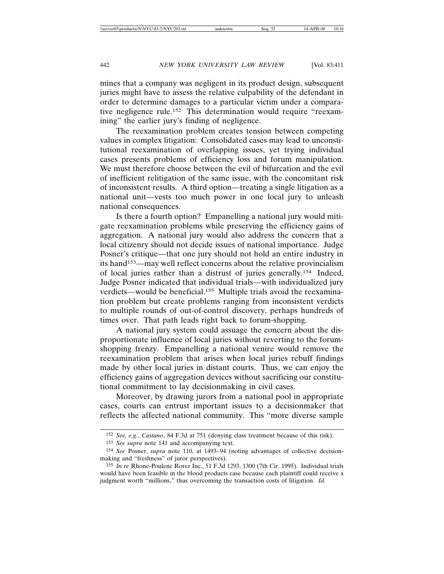mines that a company was negligent in its product design, subsequent juries might have to assess the relative culpability of the defendant in order to determine damages to a particular victim under a comparative negligence rule.152 This determination would require "reexamining" the earlier jury's finding of negligence.

The reexamination problem creates tension between competing values in complex litigation: Consolidated cases may lead to unconstitutional reexamination of overlapping issues, yet trying individual cases presents problems of efficiency loss and forum manipulation. We must therefore choose between the evil of bifurcation and the evil of inefficient relitigation of the same issue, with the concomitant risk of inconsistent results. A third option—treating a single litigation as a national unit—vests too much power in one local jury to unleash national consequences.

Is there a fourth option? Empanelling a national jury would mitigate reexamination problems while preserving the efficiency gains of aggregation. A national jury would also address the concern that a local citizenry should not decide issues of national importance. Judge Posner's critique—that one jury should not hold an entire industry in its hand153—may well reflect concerns about the relative provincialism of local juries rather than a distrust of juries generally.154 Indeed, Judge Posner indicated that individual trials—with individualized jury verdicts—would be beneficial.155 Multiple trials avoid the reexamination problem but create problems ranging from inconsistent verdicts to multiple rounds of out-of-control discovery, perhaps hundreds of times over. That path leads right back to forum-shopping.

A national jury system could assuage the concern about the disproportionate influence of local juries without reverting to the forumshopping frenzy. Empanelling a national venire would remove the reexamination problem that arises when local juries rebuff findings made by other local juries in distant courts. Thus, we can enjoy the efficiency gains of aggregation devices without sacrificing our constitutional commitment to lay decisionmaking in civil cases.

Moreover, by drawing jurors from a national pool in appropriate cases, courts can entrust important issues to a decisionmaker that reflects the affected national community. This "more diverse sample

<sup>152</sup> *See, e.g.*, *Castano*, 84 F.3d at 751 (denying class treatment because of this risk).

<sup>153</sup> *See supra* note 141 and accompanying text.

<sup>154</sup> *See* Posner, *supra* note 110, at 1493–94 (noting advantages of collective decisionmaking and "freshness" of juror perspectives).

<sup>155</sup> *In re* Rhone-Poulenc Rorer Inc., 51 F.3d 1293, 1300 (7th Cir. 1995). Individual trials would have been feasible in the blood products case because each plaintiff could receive a judgment worth "millions," thus overcoming the transaction costs of litigation. *Id.*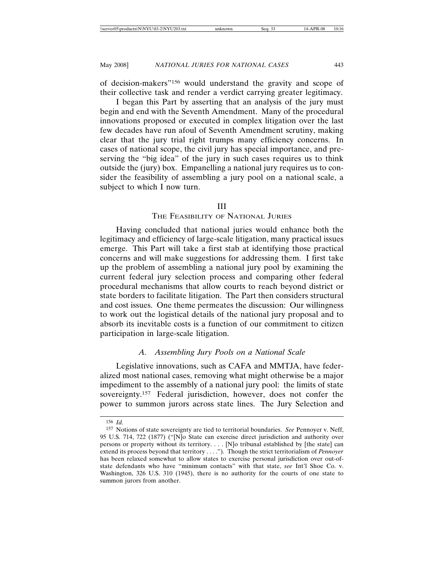of decision-makers"156 would understand the gravity and scope of their collective task and render a verdict carrying greater legitimacy.

I began this Part by asserting that an analysis of the jury must begin and end with the Seventh Amendment. Many of the procedural innovations proposed or executed in complex litigation over the last few decades have run afoul of Seventh Amendment scrutiny, making clear that the jury trial right trumps many efficiency concerns. In cases of national scope, the civil jury has special importance, and preserving the "big idea" of the jury in such cases requires us to think outside the (jury) box. Empanelling a national jury requires us to consider the feasibility of assembling a jury pool on a national scale, a subject to which I now turn.

## III

## THE FEASIBILITY OF NATIONAL JURIES

Having concluded that national juries would enhance both the legitimacy and efficiency of large-scale litigation, many practical issues emerge. This Part will take a first stab at identifying those practical concerns and will make suggestions for addressing them. I first take up the problem of assembling a national jury pool by examining the current federal jury selection process and comparing other federal procedural mechanisms that allow courts to reach beyond district or state borders to facilitate litigation. The Part then considers structural and cost issues. One theme permeates the discussion: Our willingness to work out the logistical details of the national jury proposal and to absorb its inevitable costs is a function of our commitment to citizen participation in large-scale litigation.

# *A. Assembling Jury Pools on a National Scale*

Legislative innovations, such as CAFA and MMTJA, have federalized most national cases, removing what might otherwise be a major impediment to the assembly of a national jury pool: the limits of state sovereignty.<sup>157</sup> Federal jurisdiction, however, does not confer the power to summon jurors across state lines. The Jury Selection and

<sup>156</sup> *Id.*

<sup>157</sup> Notions of state sovereignty are tied to territorial boundaries. *See* Pennoyer v. Neff, 95 U.S. 714, 722 (1877) ("[N]o State can exercise direct jurisdiction and authority over persons or property without its territory. . . . [N]o tribunal established by [the state] can extend its process beyond that territory . . . ."). Though the strict territorialism of *Pennoyer* has been relaxed somewhat to allow states to exercise personal jurisdiction over out-ofstate defendants who have "minimum contacts" with that state, *see* Int'l Shoe Co. v. Washington, 326 U.S. 310 (1945), there is no authority for the courts of one state to summon jurors from another.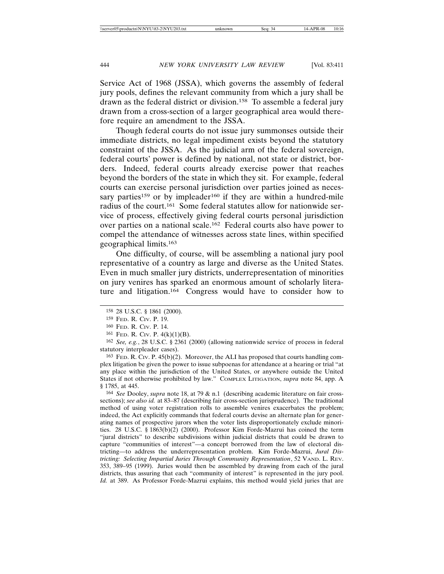Service Act of 1968 (JSSA), which governs the assembly of federal jury pools, defines the relevant community from which a jury shall be drawn as the federal district or division.158 To assemble a federal jury drawn from a cross-section of a larger geographical area would therefore require an amendment to the JSSA.

Though federal courts do not issue jury summonses outside their immediate districts, no legal impediment exists beyond the statutory constraint of the JSSA. As the judicial arm of the federal sovereign, federal courts' power is defined by national, not state or district, borders. Indeed, federal courts already exercise power that reaches beyond the borders of the state in which they sit. For example, federal courts can exercise personal jurisdiction over parties joined as necessary parties<sup>159</sup> or by impleader<sup>160</sup> if they are within a hundred-mile radius of the court.161 Some federal statutes allow for nationwide service of process, effectively giving federal courts personal jurisdiction over parties on a national scale.162 Federal courts also have power to compel the attendance of witnesses across state lines, within specified geographical limits.163

One difficulty, of course, will be assembling a national jury pool representative of a country as large and diverse as the United States. Even in much smaller jury districts, underrepresentation of minorities on jury venires has sparked an enormous amount of scholarly literature and litigation.164 Congress would have to consider how to

163 FED. R. CIV. P. 45(b)(2). Moreover, the ALI has proposed that courts handling complex litigation be given the power to issue subpoenas for attendance at a hearing or trial "at any place within the jurisdiction of the United States, or anywhere outside the United States if not otherwise prohibited by law." COMPLEX LITIGATION, *supra* note 84, app. A § 1785, at 445.

164 *See* Dooley, *supra* note 18, at 79 & n.1 (describing academic literature on fair crosssections); *see also id.* at 83–87 (describing fair cross-section jurisprudence). The traditional method of using voter registration rolls to assemble venires exacerbates the problem; indeed, the Act explicitly commands that federal courts devise an alternate plan for generating names of prospective jurors when the voter lists disproportionately exclude minorities. 28 U.S.C. § 1863(b)(2) (2000). Professor Kim Forde-Mazrui has coined the term "jural districts" to describe subdivisions within judicial districts that could be drawn to capture "communities of interest"—a concept borrowed from the law of electoral districting—to address the underrepresentation problem. Kim Forde-Mazrui, *Jural Districting: Selecting Impartial Juries Through Community Representation*, 52 VAND. L. REV. 353, 389–95 (1999). Juries would then be assembled by drawing from each of the jural districts, thus assuring that each "community of interest" is represented in the jury pool. *Id.* at 389. As Professor Forde-Mazrui explains, this method would yield juries that are

<sup>158</sup> 28 U.S.C. § 1861 (2000).

<sup>159</sup> FED. R. CIV. P. 19.

<sup>160</sup> FED. R. CIV. P. 14.

 $161$  FED. R. CIV. P.  $4(k)(1)(B)$ .

<sup>162</sup> *See, e.g.*, 28 U.S.C. § 2361 (2000) (allowing nationwide service of process in federal statutory interpleader cases).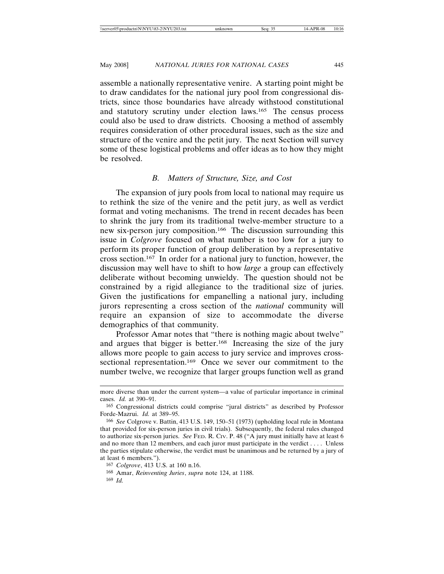assemble a nationally representative venire. A starting point might be to draw candidates for the national jury pool from congressional districts, since those boundaries have already withstood constitutional and statutory scrutiny under election laws.165 The census process could also be used to draw districts. Choosing a method of assembly requires consideration of other procedural issues, such as the size and structure of the venire and the petit jury. The next Section will survey some of these logistical problems and offer ideas as to how they might be resolved.

## *B. Matters of Structure, Size, and Cost*

The expansion of jury pools from local to national may require us to rethink the size of the venire and the petit jury, as well as verdict format and voting mechanisms. The trend in recent decades has been to shrink the jury from its traditional twelve-member structure to a new six-person jury composition.166 The discussion surrounding this issue in *Colgrove* focused on what number is too low for a jury to perform its proper function of group deliberation by a representative cross section.167 In order for a national jury to function, however, the discussion may well have to shift to how *large* a group can effectively deliberate without becoming unwieldy. The question should not be constrained by a rigid allegiance to the traditional size of juries. Given the justifications for empanelling a national jury, including jurors representing a cross section of the *national* community will require an expansion of size to accommodate the diverse demographics of that community.

Professor Amar notes that "there is nothing magic about twelve" and argues that bigger is better.168 Increasing the size of the jury allows more people to gain access to jury service and improves crosssectional representation.<sup>169</sup> Once we sever our commitment to the number twelve, we recognize that larger groups function well as grand

167 *Colgrove*, 413 U.S. at 160 n.16.

168 Amar, *Reinventing Juries*, *supra* note 124, at 1188.

169 *Id.*

more diverse than under the current system—a value of particular importance in criminal cases. *Id.* at 390–91.

<sup>165</sup> Congressional districts could comprise "jural districts" as described by Professor Forde-Mazrui. *Id.* at 389–95.

<sup>166</sup> *See* Colgrove v. Battin, 413 U.S. 149, 150–51 (1973) (upholding local rule in Montana that provided for six-person juries in civil trials). Subsequently, the federal rules changed to authorize six-person juries. *See* FED. R. CIV. P. 48 ("A jury must initially have at least 6 and no more than 12 members, and each juror must participate in the verdict . . . . Unless the parties stipulate otherwise, the verdict must be unanimous and be returned by a jury of at least 6 members.").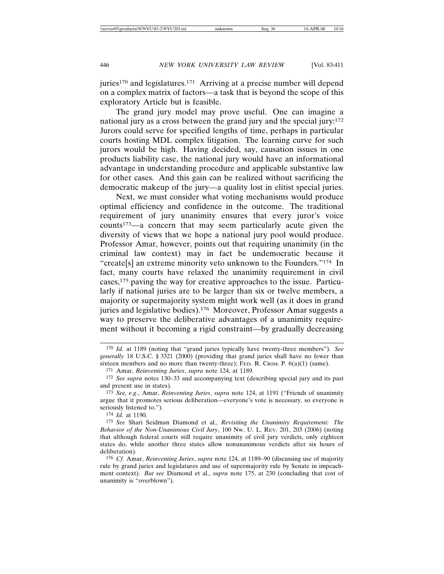juries<sup>170</sup> and legislatures.<sup>171</sup> Arriving at a precise number will depend on a complex matrix of factors—a task that is beyond the scope of this exploratory Article but is feasible.

The grand jury model may prove useful. One can imagine a national jury as a cross between the grand jury and the special jury:172 Jurors could serve for specified lengths of time, perhaps in particular courts hosting MDL complex litigation. The learning curve for such jurors would be high. Having decided, say, causation issues in one products liability case, the national jury would have an informational advantage in understanding procedure and applicable substantive law for other cases. And this gain can be realized without sacrificing the democratic makeup of the jury—a quality lost in elitist special juries.

Next, we must consider what voting mechanisms would produce optimal efficiency and confidence in the outcome. The traditional requirement of jury unanimity ensures that every juror's voice counts173—a concern that may seem particularly acute given the diversity of views that we hope a national jury pool would produce. Professor Amar, however, points out that requiring unanimity (in the criminal law context) may in fact be undemocratic because it "create[s] an extreme minority veto unknown to the Founders."174 In fact, many courts have relaxed the unanimity requirement in civil cases,175 paving the way for creative approaches to the issue. Particularly if national juries are to be larger than six or twelve members, a majority or supermajority system might work well (as it does in grand juries and legislative bodies).<sup>176</sup> Moreover, Professor Amar suggests a way to preserve the deliberative advantages of a unanimity requirement without it becoming a rigid constraint—by gradually decreasing

<sup>170</sup> *Id.* at 1189 (noting that "grand juries typically have twenty-three members"). *See generally* 18 U.S.C. § 3321 (2000) (providing that grand juries shall have no fewer than sixteen members and no more than twenty-three); FED. R. CRIM. P.  $6(a)(1)$  (same).

<sup>171</sup> Amar, *Reinventing Juries*, *supra* note 124, at 1189.

<sup>172</sup> *See supra* notes 130–33 and accompanying text (describing special jury and its past and present use in states).

<sup>173</sup> *See, e.g*., Amar, *Reinventing Juries*, *supra* note 124, at 1191 ("Friends of unanimity argue that it promotes serious deliberation—everyone's vote is necessary, so everyone is seriously listened to.").

<sup>174</sup> *Id.* at 1190.

<sup>175</sup> *See* Shari Seidman Diamond et al., *Revisiting the Unanimity Requirement: The Behavior of the Non-Unanimous Civil Jury*, 100 NW. U. L. REV. 201, 203 (2006) (noting that although federal courts still require unanimity of civil jury verdicts, only eighteen states do, while another three states allow nonunanimous verdicts after six hours of deliberation).

<sup>176</sup> *Cf.* Amar, *Reinventing Juries*, *supra* note 124, at 1189–90 (discussing use of majority rule by grand juries and legislatures and use of supermajority rule by Senate in impeachment context). *But see* Diamond et al., *supra* note 175, at 230 (concluding that cost of unanimity is "overblown").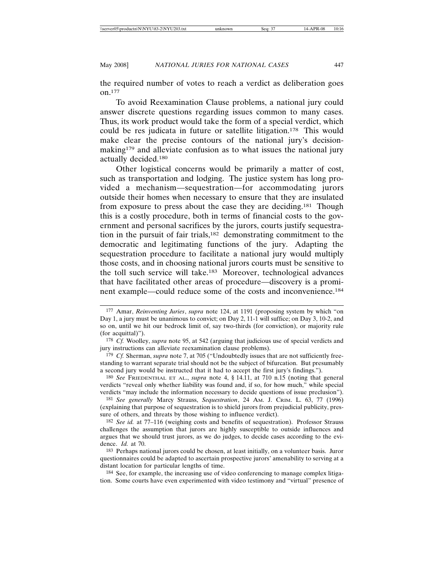the required number of votes to reach a verdict as deliberation goes on.177

To avoid Reexamination Clause problems, a national jury could answer discrete questions regarding issues common to many cases. Thus, its work product would take the form of a special verdict, which could be res judicata in future or satellite litigation.178 This would make clear the precise contours of the national jury's decisionmaking<sup>179</sup> and alleviate confusion as to what issues the national jury actually decided.180

Other logistical concerns would be primarily a matter of cost, such as transportation and lodging. The justice system has long provided a mechanism—sequestration—for accommodating jurors outside their homes when necessary to ensure that they are insulated from exposure to press about the case they are deciding.181 Though this is a costly procedure, both in terms of financial costs to the government and personal sacrifices by the jurors, courts justify sequestration in the pursuit of fair trials,182 demonstrating commitment to the democratic and legitimating functions of the jury. Adapting the sequestration procedure to facilitate a national jury would multiply those costs, and in choosing national jurors courts must be sensitive to the toll such service will take.183 Moreover, technological advances that have facilitated other areas of procedure—discovery is a prominent example—could reduce some of the costs and inconvenience.184

180 *See* FRIEDENTHAL ET AL., *supra* note 4, § 14.11, at 710 n.15 (noting that general verdicts "reveal only whether liability was found and, if so, for how much," while special verdicts "may include the information necessary to decide questions of issue preclusion").

181 *See generally* Marcy Strauss, *Sequestration*, 24 AM. J. CRIM. L. 63, 77 (1996) (explaining that purpose of sequestration is to shield jurors from prejudicial publicity, pressure of others, and threats by those wishing to influence verdict).

183 Perhaps national jurors could be chosen, at least initially, on a volunteer basis. Juror questionnaires could be adapted to ascertain prospective jurors' amenability to serving at a distant location for particular lengths of time.

184 See, for example, the increasing use of video conferencing to manage complex litigation. Some courts have even experimented with video testimony and "virtual" presence of

<sup>177</sup> Amar, *Reinventing Juries*, *supra* note 124, at 1191 (proposing system by which "on Day 1, a jury must be unanimous to convict; on Day 2, 11-1 will suffice; on Day 3, 10-2, and so on, until we hit our bedrock limit of, say two-thirds (for conviction), or majority rule (for acquittal)").

<sup>178</sup> *Cf.* Woolley, *supra* note 95, at 542 (arguing that judicious use of special verdicts and jury instructions can alleviate reexamination clause problems).

<sup>179</sup> *Cf.* Sherman, *supra* note 7, at 705 ("Undoubtedly issues that are not sufficiently freestanding to warrant separate trial should not be the subject of bifurcation. But presumably a second jury would be instructed that it had to accept the first jury's findings.").

<sup>182</sup> *See id.* at 77–116 (weighing costs and benefits of sequestration). Professor Strauss challenges the assumption that jurors are highly susceptible to outside influences and argues that we should trust jurors, as we do judges, to decide cases according to the evidence. *Id.* at 70.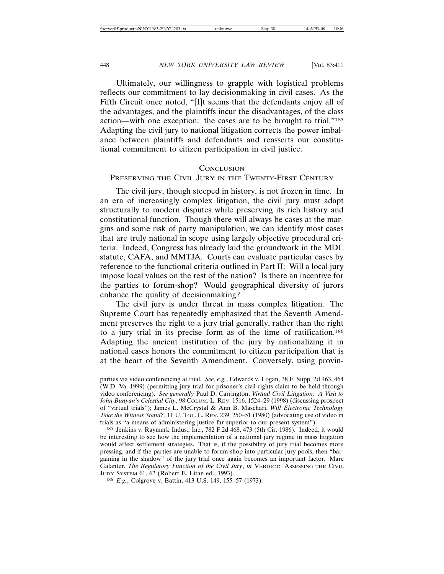Ultimately, our willingness to grapple with logistical problems reflects our commitment to lay decisionmaking in civil cases. As the Fifth Circuit once noted, "[I]t seems that the defendants enjoy all of the advantages, and the plaintiffs incur the disadvantages, of the class action—with one exception: the cases are to be brought to trial."185 Adapting the civil jury to national litigation corrects the power imbalance between plaintiffs and defendants and reasserts our constitutional commitment to citizen participation in civil justice.

#### **CONCLUSION**

#### PRESERVING THE CIVIL JURY IN THE TWENTY-FIRST CENTURY

The civil jury, though steeped in history, is not frozen in time. In an era of increasingly complex litigation, the civil jury must adapt structurally to modern disputes while preserving its rich history and constitutional function. Though there will always be cases at the margins and some risk of party manipulation, we can identify most cases that are truly national in scope using largely objective procedural criteria. Indeed, Congress has already laid the groundwork in the MDL statute, CAFA, and MMTJA. Courts can evaluate particular cases by reference to the functional criteria outlined in Part II: Will a local jury impose local values on the rest of the nation? Is there an incentive for the parties to forum-shop? Would geographical diversity of jurors enhance the quality of decisionmaking?

The civil jury is under threat in mass complex litigation. The Supreme Court has repeatedly emphasized that the Seventh Amendment preserves the right to a jury trial generally, rather than the right to a jury trial in its precise form as of the time of ratification.186 Adapting the ancient institution of the jury by nationalizing it in national cases honors the commitment to citizen participation that is at the heart of the Seventh Amendment. Conversely, using provin-

parties via video conferencing at trial. *See, e.g.*, Edwards v. Logan, 38 F. Supp. 2d 463, 464 (W.D. Va. 1999) (permitting jury trial for prisoner's civil rights claim to be held through video conferencing). *See generally* Paul D. Carrington, *Virtual Civil Litigation: A Visit to John Bunyan's Celestial City*, 98 COLUM. L. REV. 1516, 1524–29 (1998) (discussing prospect of "virtual trials"); James L. McCrystal & Ann B. Maschari, *Will Electronic Technology Take the Witness Stand?*, 11 U. TOL. L. REV. 239, 250–51 (1980) (advocating use of video in trials as "a means of administering justice far superior to our present system").

<sup>185</sup> Jenkins v. Raymark Indus., Inc., 782 F.2d 468, 473 (5th Cir. 1986). Indeed, it would be interesting to see how the implementation of a national jury regime in mass litigation would affect settlement strategies. That is, if the possibility of jury trial becomes more pressing, and if the parties are unable to forum-shop into particular jury pools, then "bargaining in the shadow" of the jury trial once again becomes an important factor. Marc Galanter, *The Regulatory Function of the Civil Jury*, *in* VERDICT: ASSESSING THE CIVIL JURY SYSTEM 61, 62 (Robert E. Litan ed., 1993).

<sup>186</sup> *E.g.*, Colgrove v. Battin, 413 U.S. 149, 155–57 (1973).